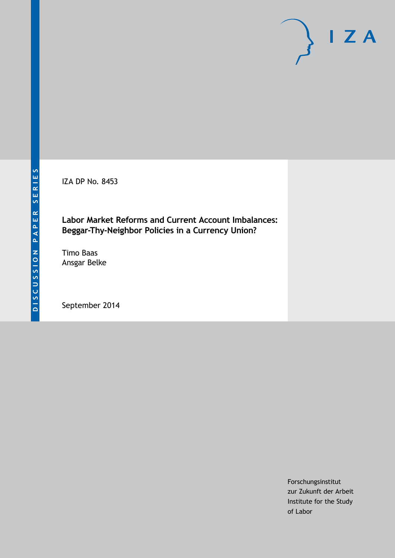IZA DP No. 8453

## **Labor Market Reforms and Current Account Imbalances: Beggar-Thy-Neighbor Policies in a Currency Union?**

Timo Baas Ansgar Belke

September 2014

Forschungsinstitut zur Zukunft der Arbeit Institute for the Study of Labor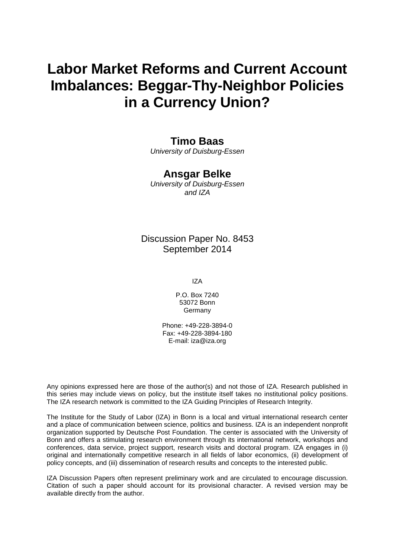# **Labor Market Reforms and Current Account Imbalances: Beggar-Thy-Neighbor Policies in a Currency Union?**

### **Timo Baas**

*University of Duisburg-Essen*

## **Ansgar Belke**

*University of Duisburg-Essen and IZA*

### Discussion Paper No. 8453 September 2014

IZA

P.O. Box 7240 53072 Bonn Germany

Phone: +49-228-3894-0 Fax: +49-228-3894-180 E-mail: [iza@iza.org](mailto:iza@iza.org)

Any opinions expressed here are those of the author(s) and not those of IZA. Research published in this series may include views on policy, but the institute itself takes no institutional policy positions. The IZA research network is committed to the IZA Guiding Principles of Research Integrity.

The Institute for the Study of Labor (IZA) in Bonn is a local and virtual international research center and a place of communication between science, politics and business. IZA is an independent nonprofit organization supported by Deutsche Post Foundation. The center is associated with the University of Bonn and offers a stimulating research environment through its international network, workshops and conferences, data service, project support, research visits and doctoral program. IZA engages in (i) original and internationally competitive research in all fields of labor economics, (ii) development of policy concepts, and (iii) dissemination of research results and concepts to the interested public.

IZA Discussion Papers often represent preliminary work and are circulated to encourage discussion. Citation of such a paper should account for its provisional character. A revised version may be available directly from the author.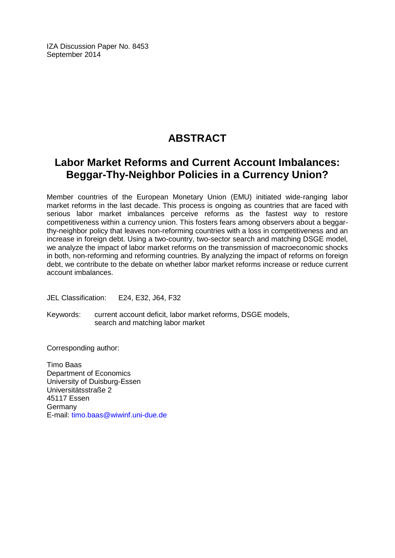IZA Discussion Paper No. 8453 September 2014

## **ABSTRACT**

## **Labor Market Reforms and Current Account Imbalances: Beggar-Thy-Neighbor Policies in a Currency Union?**

Member countries of the European Monetary Union (EMU) initiated wide-ranging labor market reforms in the last decade. This process is ongoing as countries that are faced with serious labor market imbalances perceive reforms as the fastest way to restore competitiveness within a currency union. This fosters fears among observers about a beggarthy-neighbor policy that leaves non-reforming countries with a loss in competitiveness and an increase in foreign debt. Using a two-country, two-sector search and matching DSGE model, we analyze the impact of labor market reforms on the transmission of macroeconomic shocks in both, non-reforming and reforming countries. By analyzing the impact of reforms on foreign debt, we contribute to the debate on whether labor market reforms increase or reduce current account imbalances.

JEL Classification: E24, E32, J64, F32

Keywords: current account deficit, labor market reforms, DSGE models, search and matching labor market

Corresponding author:

Timo Baas Department of Economics University of Duisburg-Essen Universitätsstraße 2 45117 Essen Germany E-mail: [timo.baas@wiwinf.uni-due.de](mailto:timo.baas@wiwinf.uni-due.de)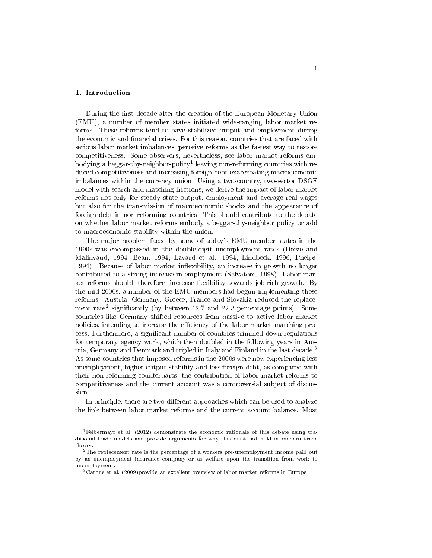#### 1. Introduction

During the first decade after the creation of the European Monetary Union (EMU), a number of member states initiated wide-ranging labor market reforms. These reforms tend to have stabilized output and employment during the economic and financial crises. For this reason, countries that are faced with serious labor market imbalances, perceive reforms as the fastest way to restore competitiveness. Some observers, nevertheless, see labor market reforms embodying a beggar-thy-neighbor-policy<sup>1</sup> leaving non-reforming countries with reduced competitiveness and increasing foreign debt exacerbating macroeconomic imbalances within the currency union. Using a two-country, two-sector DSGE model with search and matching frictions, we derive the impact of labor market reforms not only for steady state output, employment and average real wages but also for the transmission of macroeconomic shocks and the appearance of foreign debt in non-reforming countries. This should contribute to the debate on whether labor market reforms embody a beggar-thy-neighbor policy or add to macroeconomic stability within the union.

The major problem faced by some of today's EMU member states in the 1990s was encompassed in the double-digit unemployment rates (Dreze and Malinvaud, 1994; Bean, 1994; Layard et al., 1994; Lindbeck, 1996; Phelps, 1994). Because of labor market inflexibility, an increase in growth no longer contributed to a strong increase in employment (Salvatore, 1998). Labor market reforms should, therefore, increase flexibility towards job-rich growth. By the mid 2000s, a number of the EMU members had begun implementing these reforms. Austria, Germany, Greece, France and Slovakia reduced the replacement rate<sup>2</sup> significantly (by between 12.7 and 22.3 percentage points). Some countries like Germany shifted resources from passive to active labor market policies, intending to increase the eciency of the labor market matching process. Furthermore, a signicant number of countries trimmed down regulations for temporary agency work, which then doubled in the following years in Austria, Germany and Denmark and tripled in Italy and Finland in the last decade.<sup>3</sup> As some countries that imposed reforms in the 2000s were now experiencing less unemployment, higher output stability and less foreign debt, as compared with their non-reforming counterparts, the contribution of labor market reforms to competitiveness and the current account was a controversial subject of discussion.

In principle, there are two different approaches which can be used to analyze the link between labor market reforms and the current account balance. Most

<sup>&</sup>lt;sup>1</sup>Felbermayr et al. (2012) demonstrate the economic rationale of this debate using traditional trade models and provide arguments for why this must not hold in modern trade theory.

<sup>2</sup>The replacement rate is the percentage of a workers pre-unemployment income paid out by an unemployment insurance company or as welfare upon the transition from work to unemployment.

<sup>3</sup>Carone et al. (2009)provide an excellent overview of labor market reforms in Europe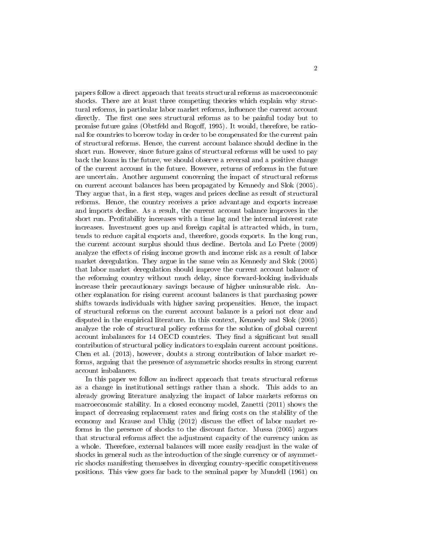papers follow a direct approach that treats structural reforms as macroeconomic shocks. There are at least three competing theories which explain why structural reforms, in particular labor market reforms, influence the current account directly. The first one sees structural reforms as to be painful today but to promise future gains (Obstfeld and Rogoff, 1995). It would, therefore, be rational for countries to borrow today in order to be compensated for the current pain of structural reforms. Hence, the current account balance should decline in the short run. However, since future gains of structural reforms will be used to pay back the loans in the future, we should observe a reversal and a positive change of the current account in the future. However, returns of reforms in the future are uncertain. Another argument concerning the impact of structural reforms on current account balances has been propagated by Kennedy and Slok (2005). They argue that, in a first step, wages and prices decline as result of structural reforms. Hence, the country receives a price advantage and exports increase and imports decline. As a result, the current account balance improves in the short run. Profitability increases with a time lag and the internal interest rate increases. Investment goes up and foreign capital is attracted which, in turn, tends to reduce capital exports and, therefore, goods exports. In the long run, the current account surplus should thus decline. Bertola and Lo Prete (2009) analyze the effects of rising income growth and income risk as a result of labor market deregulation. They argue in the same vein as Kennedy and Slok (2005) that labor market deregulation should improve the current account balance of the reforming country without much delay, since forward-looking individuals increase their precautionary savings because of higher uninsurable risk. Another explanation for rising current account balances is that purchasing power shifts towards individuals with higher saving propensities. Hence, the impact of structural reforms on the current account balance is a priori not clear and disputed in the empirical literature. In this context, Kennedy and Slok (2005) analyze the role of structural policy reforms for the solution of global current account imbalances for 14 OECD countries. They find a significant but small contribution of structural policy indicators to explain current account positions. Chen et al. (2013), however, doubts a strong contribution of labor market reforms, arguing that the presence of asymmetric shocks results in strong current account imbalances.

In this paper we follow an indirect approach that treats structural reforms as a change in institutional settings rather than a shock. This adds to an already growing literature analyzing the impact of labor markets reforms on macroeconomic stability. In a closed economy model, Zanetti (2011) shows the impact of decreasing replacement rates and firing costs on the stability of the economy and Krause and Uhlig (2012) discuss the effect of labor market reforms in the presence of shocks to the discount factor. Mussa (2005) argues that structural reforms affect the adjustment capacity of the currency union as a whole. Therefore, external balances will more easily readjust in the wake of shocks in general such as the introduction of the single currency or of asymmetric shocks manifesting themselves in diverging country-specific competitiveness positions. This view goes far back to the seminal paper by Mundell (1961) on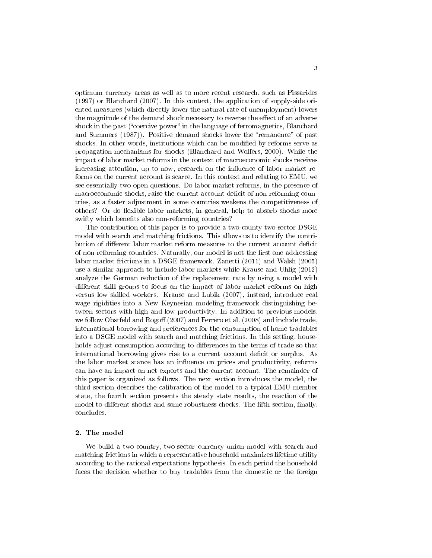optimum currency areas as well as to more recent research, such as Pissarides (1997) or Blanchard (2007). In this context, the application of supply-side oriented measures (which directly lower the natural rate of unemployment) lowers the magnitude of the demand shock necessary to reverse the effect of an adverse shock in the past ("coercive power" in the language of ferromagnetics, Blanchard and Summers  $(1987)$ . Positive demand shocks lower the "remanence" of past shocks. In other words, institutions which can be modified by reforms serve as propagation mechanisms for shocks (Blanchard and Wolfers, 2000). While the impact of labor market reforms in the context of macroeconomic shocks receives increasing attention, up to now, research on the influence of labor market reforms on the current account is scarce. In this context and relating to EMU, we see essentially two open questions. Do labor market reforms, in the presence of macroeconomic shocks, raise the current account deficit of non-reforming countries, as a faster adjustment in some countries weakens the competitiveness of others? Or do flexible labor markets, in general, help to absorb shocks more swifty which benefits also non-reforming countries?

The contribution of this paper is to provide a two-county two-sector DSGE model with search and matching frictions. This allows us to identify the contribution of different labor market reform measures to the current account deficit of non-reforming countries. Naturally, our model is not the first one addressing labor market frictions in a DSGE framework. Zanetti (2011) and Walsh (2005) use a similar approach to include labor markets while Krause and Uhlig (2012) analyze the German reduction of the replacement rate by using a model with different skill groups to focus on the impact of labor market reforms on high versus low skilled workers. Krause and Lubik (2007), instead, introduce real wage rigidities into a New Keynesian modeling framework distinguishing between sectors with high and low productivity. In addition to previous models, we follow Obstfeld and Rogoff  $(2007)$  and Ferrero et al.  $(2008)$  and include trade, international borrowing and preferences for the consumption of home tradables into a DSGE model with search and matching frictions. In this setting, households adjust consumption according to differences in the terms of trade so that international borrowing gives rise to a current account deficit or surplus. As the labor market stance has an influence on prices and productivity, reforms can have an impact on net exports and the current account. The remainder of this paper is organized as follows. The next section introduces the model, the third section describes the calibration of the model to a typical EMU member state, the fourth section presents the steady state results, the reaction of the model to different shocks and some robustness checks. The fifth section, finally, concludes.

#### 2. The model

We build a two-country, two-sector currency union model with search and matching frictions in which a representative household maximizes lifetime utility according to the rational expectations hypothesis. In each period the household faces the decision whether to buy tradables from the domestic or the foreign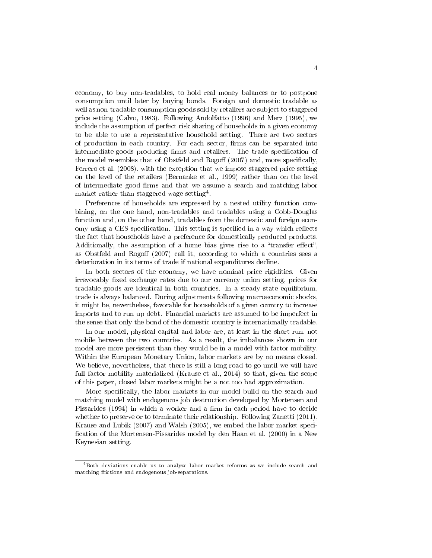economy, to buy non-tradables, to hold real money balances or to postpone consumption until later by buying bonds. Foreign and domestic tradable as well as non-tradable consumption goods sold by retailers are subject to staggered price setting (Calvo, 1983). Following Andolfatto (1996) and Merz (1995), we include the assumption of perfect risk sharing of households in a given economy to be able to use a representative household setting. There are two sectors of production in each country. For each sector, firms can be separated into intermediate-goods producing firms and retailers. The trade specification of the model resembles that of Obstfeld and Rogoff  $(2007)$  and, more specifically, Ferrero et al. (2008), with the exception that we impose staggered price setting on the level of the retailers (Bernanke et al., 1999) rather than on the level of intermediate good firms and that we assume a search and matching labor market rather than staggered wage setting<sup>4</sup> .

Preferences of households are expressed by a nested utility function combining, on the one hand, non-tradables and tradables using a Cobb-Douglas function and, on the other hand, tradables from the domestic and foreign economy using a CES specification. This setting is specified in a way which reflects the fact that households have a preference for domestically produced products. Additionally, the assumption of a home bias gives rise to a "transfer effect" as Obstfeld and Rogoff  $(2007)$  call it, according to which a countries sees a deterioration in its terms of trade if national expenditures decline.

In both sectors of the economy, we have nominal price rigidities. Given irrevocably fixed exchange rates due to our currency union setting, prices for tradable goods are identical in both countries. In a steady state equilibrium, trade is always balanced. During adjustments following macroeconomic shocks, it might be, nevertheless, favorable for households of a given country to increase imports and to run up debt. Financial markets are assumed to be imperfect in the sense that only the bond of the domestic country is internationally tradable.

In our model, physical capital and labor are, at least in the short run, not mobile between the two countries. As a result, the imbalances shown in our model are more persistent than they would be in a model with factor mobility. Within the European Monetary Union, labor markets are by no means closed. We believe, nevertheless, that there is still a long road to go until we will have full factor mobility materialized (Krause et al., 2014) so that, given the scope of this paper, closed labor markets might be a not too bad approximation.

More specifically, the labor markets in our model build on the search and matching model with endogenous job destruction developed by Mortensen and Pissarides  $(1994)$  in which a worker and a firm in each period have to decide whether to preserve or to terminate their relationship. Following Zanetti (2011), Krause and Lubik (2007) and Walsh (2005), we embed the labor market speci fication of the Mortensen-Pissarides model by den Haan et al. (2000) in a New Keynesian setting.

<sup>4</sup>Both deviations enable us to analyze labor market reforms as we include search and matching frictions and endogenous job-separations.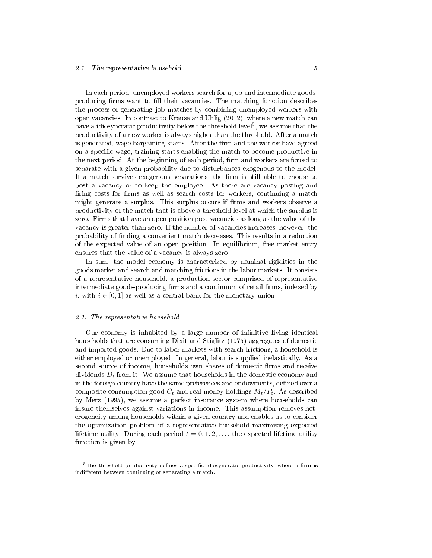#### 2.1 The representative household 5

In each period, unemployed workers search for a job and intermediate goodsproducing firms want to fill their vacancies. The matching function describes the process of generating job matches by combining unemployed workers with open vacancies. In contrast to Krause and Uhlig (2012), where a new match can have a idiosyncratic productivity below the threshold level<sup>5</sup>, we assume that the productivity of a new worker is always higher than the threshold. After a match is generated, wage bargaining starts. After the firm and the worker have agreed on a specific wage, training starts enabling the match to become productive in the next period. At the beginning of each period, firm and workers are forced to separate with a given probability due to disturbances exogenous to the model. If a match survives exogenous separations, the firm is still able to choose to post a vacancy or to keep the employee. As there are vacancy posting and firing costs for firms as well as search costs for workers, continuing a match might generate a surplus. This surplus occurs if firms and workers observe a productivity of the match that is above a threshold level at which the surplus is zero. Firms that have an open position post vacancies as long as the value of the vacancy is greater than zero. If the number of vacancies increases, however, the probability of finding a convenient match decreases. This results in a reduction of the expected value of an open position. In equilibrium, free market entry ensures that the value of a vacancy is always zero.

In sum, the model economy is characterized by nominal rigidities in the goods market and search and matching frictions in the labor markets. It consists of a representative household, a production sector comprised of representative intermediate goods-producing firms and a continuum of retail firms, indexed by i, with  $i \in [0, 1]$  as well as a central bank for the monetary union.

#### 2.1. The representative household

Our economy is inhabited by a large number of infinitive living identical households that are consuming Dixit and Stiglitz (1975) aggregates of domestic and imported goods. Due to labor markets with search frictions, a household is either employed or unemployed. In general, labor is supplied inelastically. As a second source of income, households own shares of domestic firms and receive dividends  $D_t$  from it. We assume that households in the domestic economy and in the foreign country have the same preferences and endowments, defined over a composite consumption good  $C_t$  and real money holdings  $M_t/P_t$ . As described by Merz (1995), we assume a perfect insurance system where households can insure themselves against variations in income. This assumption removes heterogeneity among households within a given country and enables us to consider the optimization problem of a representative household maximizing expected lifetime utility. During each period  $t = 0, 1, 2, \ldots$ , the expected lifetime utility function is given by

 $5$ The threshold productivity defines a specific idiosyncratic productivity, where a firm is indifferent between continuing or separating a match.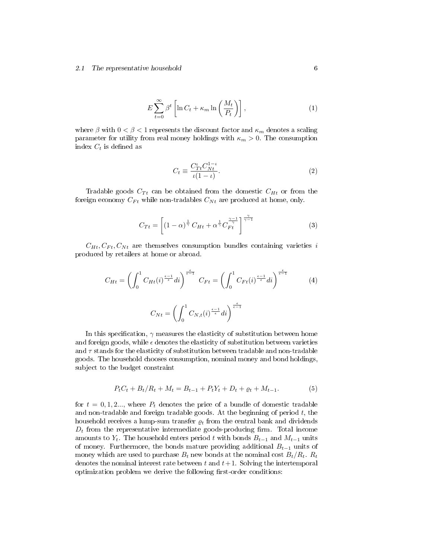#### 2.1 The representative household 6

$$
E\sum_{t=0}^{\infty} \beta^t \left[ \ln C_t + \kappa_m \ln \left( \frac{M_t}{P_t} \right) \right],\tag{1}
$$

where  $\beta$  with  $0 < \beta < 1$  represents the discount factor and  $\kappa_m$  denotes a scaling parameter for utility from real money holdings with  $\kappa_m > 0$ . The consumption index  $C_t$  is defined as

$$
C_t \equiv \frac{C_{Tt}^{\iota} C_{Nt}^{1-\iota}}{\iota (1-\iota)}.\tag{2}
$$

Tradable goods  $C_{Tt}$  can be obtained from the domestic  $C_{Ht}$  or from the foreign economy  $C_{Ft}$  while non-tradables  $C_{Nt}$  are produced at home, only.

$$
C_{Tt} = \left[ (1 - \alpha)^{\frac{1}{\gamma}} C_{Ht} + \alpha^{\frac{1}{\gamma}} C_{Ft}^{\frac{\gamma - 1}{\gamma}} \right]^{\frac{\gamma}{\gamma - 1}}
$$
(3)

 $C_{Ht}, C_{Ft}, C_{Nt}$  are themselves consumption bundles containing varieties i produced by retailers at home or abroad.

$$
C_{Ht} = \left(\int_0^1 C_{Ht}(i)^{\frac{\epsilon - 1}{\epsilon}} di\right)^{\frac{\epsilon}{\epsilon - 1}} C_{Ft} = \left(\int_0^1 C_{Ft}(i)^{\frac{\epsilon - 1}{\epsilon}} di\right)^{\frac{\epsilon}{\epsilon - 1}}
$$
(4)  

$$
C_{Nt} = \left(\int_0^1 C_{N,t}(i)^{\frac{\epsilon - 1}{\epsilon}} di\right)^{\frac{\epsilon}{\epsilon - 1}}
$$

In this specification,  $\gamma$  measures the elasticity of substitution between home and foreign goods, while  $\epsilon$  denotes the elasticity of substitution between varieties and  $\tau$  stands for the elasticity of substitution between tradable and non-tradable goods. The household chooses consumption, nominal money and bond holdings, subject to the budget constraint

$$
P_t C_t + B_t / R_t + M_t = B_{t-1} + P_t Y_t + D_t + \varrho_t + M_{t-1}.
$$
 (5)

for  $t = 0, 1, 2, \ldots$ , where  $P_t$  denotes the price of a bundle of domestic tradable and non-tradable and foreign tradable goods. At the beginning of period  $t$ , the household receives a lump-sum transfer  $\rho_t$  from the central bank and dividends  $D_t$  from the representative intermediate goods-producing firm. Total income amounts to  $Y_t$ . The household enters period t with bonds  $B_{t-1}$  and  $M_{t-1}$  units of money. Furthermore, the bonds mature providing additional  $B_{t-1}$  units of money which are used to purchase  $B_t$  new bonds at the nominal cost  $B_t/R_t$ .  $R_t$ denotes the nominal interest rate between t and  $t+1$ . Solving the intertemporal optimization problem we derive the following first-order conditions: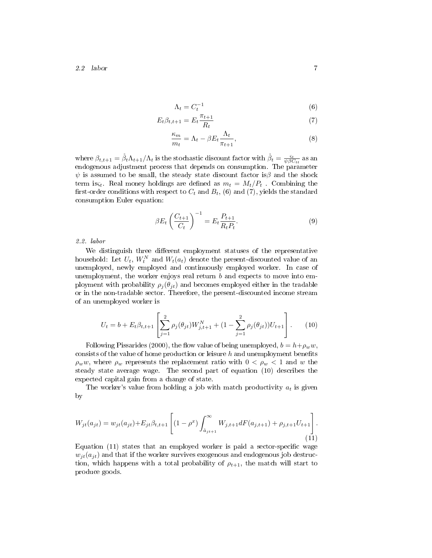2.2 labor 7

$$
\Lambda_t = C_t^{-1} \tag{6}
$$

$$
E_t \beta_{t,t+1} = E_t \frac{\pi_{t+1}}{R_t} \tag{7}
$$

$$
\frac{\kappa_m}{m_t} = \Lambda_t - \beta E_t \frac{\Lambda_t}{\pi_{t+1}},\tag{8}
$$

where  $\beta_{t,t+1} = \overset{\circ}{\beta}_t \Lambda_{t+1} / \Lambda_t$  is the stochastic discount factor with  $\overset{\circ}{\beta}_t = \frac{\varsigma_t}{\psi \beta C_{tt}}$  as an endogenous adjustment process that depends on consumption. The parameter  $\psi$  is assumed to be small, the steady state discount factor is $\beta$  and the shock term is  $s_t$ . Real money holdings are defined as  $m_t = M_t/P_t$ . Combining the first-order conditions with respect to  $C_t$  and  $B_t$ , (6) and (7), yields the standard consumption Euler equation:

$$
\beta E_t \left( \frac{C_{t+1}}{C_t} \right)^{-1} = E_t \frac{P_{t+1}}{R_t P_t}.
$$
\n(9)

2.2. labor

We distinguish three different employment statuses of the representative household: Let  $U_t$ ,  $W_t^N$  and  $W_t(a_t)$  denote the present-discounted value of an unemployed, newly employed and continuously employed worker. In case of unemployment, the worker enjoys real return  $b$  and expects to move into employment with probability  $\rho_i(\theta_{it})$  and becomes employed either in the tradable or in the non-tradable sector. Therefore, the present-discounted income stream of an unemployed worker is

$$
U_t = b + E_t \beta_{t,t+1} \left[ \sum_{j=1}^2 \rho_j(\theta_{jt}) W_{j,t+1}^N + (1 - \sum_{j=1}^2 \rho_j(\theta_{jt})) U_{t+1} \right].
$$
 (10)

Following Pissarides (2000), the flow value of being unemployed,  $b = h + \rho_w w$ , consists of the value of home production or leisure  $h$  and unemployment benefits  $\rho_w w$ , where  $\rho_w$  represents the replacement ratio with  $0 < \rho_w < 1$  and w the steady state average wage. The second part of equation (10) describes the expected capital gain from a change of state.

The worker's value from holding a job with match productivity  $a_t$  is given by

$$
W_{jt}(a_{jt}) = w_{jt}(a_{jt}) + E_{jt}\beta_{t,t+1} \left[ (1 - \rho^x) \int_{\aa_{j,t+1}}^{\infty} W_{j,t+1} dF(a_{j,t+1}) + \rho_{j,t+1} U_{t+1} \right].
$$
\n(11)

Equation  $(11)$  states that an employed worker is paid a sector-specific wage  $w_{it}(a_{it})$  and that if the worker survives exogenous and endogenous job destruction, which happens with a total probability of  $\rho_{t+1}$ , the match will start to produce goods.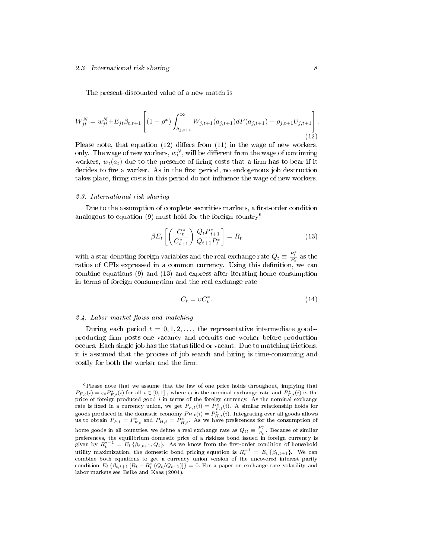#### 2.3 International risk sharing 8

The present-discounted value of a new match is

$$
W_{jt}^{N} = w_{jt}^{N} + E_{jt} \beta_{t,t+1} \left[ (1 - \rho^{x}) \int_{\hat{a}_{j,t+1}}^{\infty} W_{j,t+1}(a_{j,t+1}) dF(a_{j,t+1}) + \rho_{j,t+1} U_{j,t+1} \right].
$$
\n(12)

Please note, that equation  $(12)$  differs from  $(11)$  in the wage of new workers, only. The wage of new workers,  $w_t^N$ , will be different from the wage of continuing workers,  $w_t(a_t)$  due to the presence of firing costs that a firm has to bear if it decides to fire a worker. As in the first period, no endogenous job destruction takes place, firing costs in this period do not influence the wage of new workers.

#### 2.3. International risk sharing

Due to the assumption of complete securities markets, a first-order condition analogous to equation (9) must hold for the foreign country<sup>6</sup>

$$
\beta E_t \left[ \left( \frac{C_t^*}{C_{t+1}^*} \right) \frac{Q_t P_{t+1}^*}{Q_{t+1} P_t^*} \right] = R_t \tag{13}
$$

with a star denoting foreign variables and the real exchange rate  $Q_t \equiv \frac{P_t^*}{P_t}$  as the ratios of CPIs expressed in a common currency. Using this definition, we can combine equations (9) and (13) and express after iterating home consumption in terms of foreign consumption and the real exchange rate

$$
C_t = v C_t^*.
$$
\n<sup>(14)</sup>

#### $2.4.$  Labor market flows and matching

During each period  $t = 0, 1, 2, \ldots$ , the representative intermediate goodsproducing firm posts one vacancy and recruits one worker before production occurs. Each single job has the status filled or vacant. Due to matching frictions, it is assumed that the process of job search and hiring is time-consuming and costly for both the worker and the firm.

<sup>6</sup>Please note that we assume that the law of one price holds throughout, implying that  $P_{F,t}(i) = \varepsilon_t P_{F,t}^*(i)$  for all  $i \in [0,1]$  , where  $\epsilon_t$  is the nominal exchange rate and  $P_{F,t}^*(i)$  is the price of foreign produced good  $i$  in terms of the foreign currency. As the nominal exchange rate is fixed in a currency union, we get  $P_{F,t}(i) = P_{F,t}^*(i)$ . A similar relationship holds for goods produced in the domestic economy  $P_{H,t}(i) = P_{H,t}^*(i)$ . Integrating over all goods allows us to obtain  $P_{F,t} = P_{F,t}^*$  and  $P_{H,t} = P_{H,t}^*$ . As we have preferences for the consumption of home goods in all countries, we define a real exchange rate as  $Q_{tt}\equiv \frac{P_t^*}{P_t}$ . Because of similar preferences, the equilibrium domestic price of a riskless bond issued in foreign currency is given by  $R_t^{*-1} = E_t \left\{ \beta_{t,t+1}, Q_t \right\}$ . As we know from the first-order condition of household utility maximization, the domestic bond pricing equation is  $R_t^{-1} = E_t \{\beta_{t,t+1}\}.$  We can combine both equations to get a currency union version of the uncovered interest parity condition  $E_t \left\{ \beta_{t,t+1} \left[ R_t - R_t^* \left( Q_t / Q_{t+1} \right) \right] \right\} = 0$ . For a paper on exchange rate volatility and labor markets see Belke and Kaas (2004).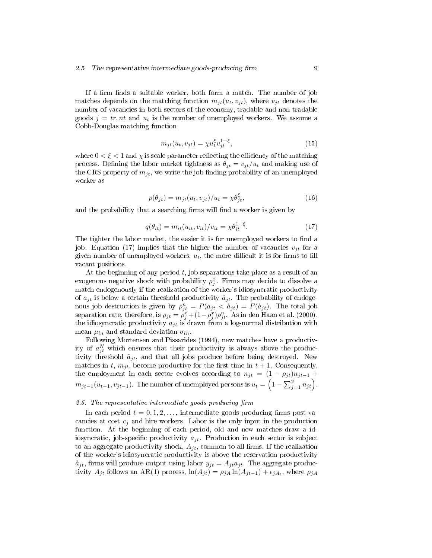If a firm finds a suitable worker, both form a match. The number of job matches depends on the matching function  $m_{it}(u_t, v_{it})$ , where  $v_{it}$  denotes the number of vacancies in both sectors of the economy, tradable and non tradable goods  $j = tr, nt$  and  $u_t$  is the number of unemployed workers. We assume a Cobb-Douglas matching function

$$
m_{jt}(u_t, v_{jt}) = \chi u_t^{\xi} v_{jt}^{1-\xi},\tag{15}
$$

where  $0 < \xi < 1$  and  $\chi$  is scale parameter reflecting the efficiency of the matching process. Defining the labor market tightness as  $\theta_{it} = v_{it}/u_t$  and making use of the CRS property of  $m_{it}$ , we write the job finding probability of an unemployed worker as

$$
p(\theta_{jt}) = m_{jt}(u_t, v_{jt})/u_t = \chi \theta_{jt}^{\xi}, \qquad (16)
$$

and the probability that a searching firms will find a worker is given by

$$
q(\theta_{it}) = m_{it}(u_{it}, v_{it})/v_{it} = \chi \theta_{it}^{1-\xi}.
$$
\n(17)

The tighter the labor market, the easier it is for unemployed workers to find a job. Equation (17) implies that the higher the number of vacancies  $v_{it}$  for a given number of unemployed workers,  $u_t$ , the more difficult it is for firms to fill vacant positions.

At the beginning of any period  $t$ , job separations take place as a result of an exogenous negative shock with probability  $\rho_j^x$ . Firms may decide to dissolve a match endogenously if the realization of the worker's idiosyncratic productivity of  $a_{jt}$  is below a certain threshold productivity  $\mathring{a}_{jt}$ . The probability of endogenous job destruction is given by  $\rho_{jt}^n = P(a_{jt} < \mathring{a}_{jt}) = F(\mathring{a}_{jt})$ . The total job separation rate, therefore, is  $\rho_{jt} = \rho_j^x + (1 - \rho_j^x)\rho_{jt}^n$ . As in den Haan et al. (2000), the idiosyncratic productivity  $a_{jt}$  is drawn from a log-normal distribution with mean  $\mu_{ln}$  and standard deviation  $\sigma_{ln}$ .

Following Mortensen and Pissarides (1994), new matches have a productivity of  $a_{jt}^N$  which ensures that their productivity is always above the productivity threshold  $\tilde{a}_{jt}$ , and that all jobs produce before being destroyed. New matches in t,  $m_{it}$ , become productive for the first time in  $t + 1$ . Consequently, the employment in each sector evolves according to  $n_{jt} = (1 - \rho_{jt})n_{jt-1}$  +  $m_{jt-1}(u_{t-1}, v_{jt-1})$ . The number of unemployed persons is  $u_t = \left(1 - \sum_{j=1}^2 n_{jt}\right)$ .

#### 2.5. The representative intermediate goods-producing firm

In each period  $t = 0, 1, 2, \ldots$ , intermediate goods-producing firms post vacancies at cost  $c_i$  and hire workers. Labor is the only input in the production function. At the beginning of each period, old and new matches draw a idiosyncratic, job-specific productivity  $a_{jt}$ . Production in each sector is subject to an aggregate productivity shock,  $A_{jt}$ , common to all firms. If the realization of the worker's idiosyncratic productivity is above the reservation productivity  $\aa_{jt}$ , firms will produce output using labor  $y_{jt} = A_{jt}a_{jt}$ . The aggregate productivity  $A_{jt}$  follows an AR(1) process,  $\ln(A_{jt}) = \rho_{jA} \ln(A_{jt-1}) + \epsilon_{jA_t}$ , where  $\rho_{jA}$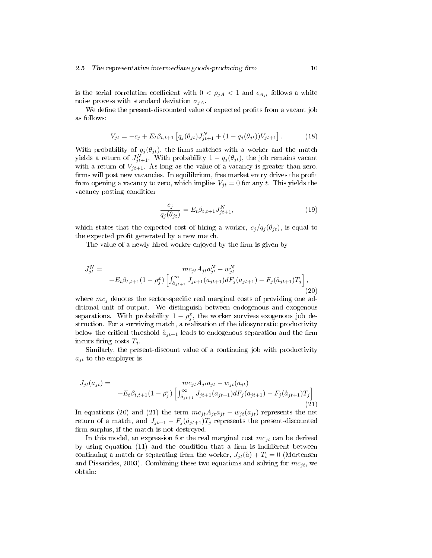#### 2.5 The representative intermediate goods-producing firm  $10$

is the serial correlation coefficient with  $0 < \rho_{jA} < 1$  and  $\epsilon_{A_{jt}}$  follows a white noise process with standard deviation  $\sigma_{iA}$ .

We define the present-discounted value of expected profits from a vacant job as follows:

$$
V_{jt} = -c_j + E_t \beta_{t,t+1} \left[ q_j(\theta_{jt}) J_{jt+1}^N + (1 - q_j(\theta_{jt})) V_{jt+1} \right]. \tag{18}
$$

With probability of  $q_j(\theta_{jt})$ , the firms matches with a worker and the match yields a return of  $J_{jt+1}^N$ . With probability  $1 - q_j(\theta_{jt})$ , the job remains vacant with a return of  $V_{jt+1}$ . As long as the value of a vacancy is greater than zero, firms will post new vacancies. In equilibrium, free market entry drives the profit from opening a vacancy to zero, which implies  $V_{jt} = 0$  for any t. This yields the vacancy posting condition

$$
\frac{c_j}{q_j(\theta_{jt})} = E_t \beta_{t,t+1} J_{jt+1}^N,
$$
\n(19)

which states that the expected cost of hiring a worker,  $c_j/q_j(\theta_{jt})$ , is equal to the expected profit generated by a new match.

The value of a newly hired worker enjoyed by the firm is given by

$$
J_{jt}^{N} = mc_{jt}A_{jt}a_{jt}^{N} - w_{jt}^{N} + E_{t}\beta_{t,t+1}(1 - \rho_{j}^{x})\left[\int_{\hat{a}_{j}t+1}^{\infty}J_{jt+1}(a_{jt+1})dF_{j}(a_{jt+1}) - F_{j}(\hat{a}_{jt+1})T_{j}\right],
$$
\n(20)

where  $mc<sub>i</sub>$  denotes the sector-specific real marginal costs of providing one additional unit of output. We distinguish between endogenous and exogenous separations. With probability  $1 - \rho_j^x$ , the worker survives exogenous job destruction. For a surviving match, a realization of the idiosyncratic productivity below the critical threshold  $\hat{a}_{jt+1}$  leads to endogenous separation and the firm incurs firing costs  $T_i$ .

Similarly, the present-discount value of a continuing job with productivity  $a_{it}$  to the employer is

$$
J_{jt}(a_{jt}) = \begin{aligned} m c_{jt} A_{jt} a_{jt} - w_{jt}(a_{jt}) \\ + E_t \beta_{t,t+1} (1 - \rho_j^x) \left[ \int_{\aa_{jt+1}}^{\infty} J_{jt+1}(a_{jt+1}) dF_j(a_{jt+1}) - F_j(\aa_{jt+1}) T_j \right] \end{aligned} \tag{21}
$$

In equations (20) and (21) the term  $mc_{jt}A_{jt}a_{jt} - w_{jt}(a_{jt})$  represents the net return of a match, and  $J_{jt+1} - F_j(\mathring{a}_{jt+1})T_j$  represents the present-discounted firm surplus, if the match is not destroyed.

In this model, an expression for the real marginal cost  $mc_{it}$  can be derived by using equation  $(11)$  and the condition that a firm is indifferent between continuing a match or separating from the worker,  $J_{it}(\aa) + T_i = 0$  (Mortensen and Pissarides, 2003). Combining these two equations and solving for  $mc_{jt}$ , we obtain: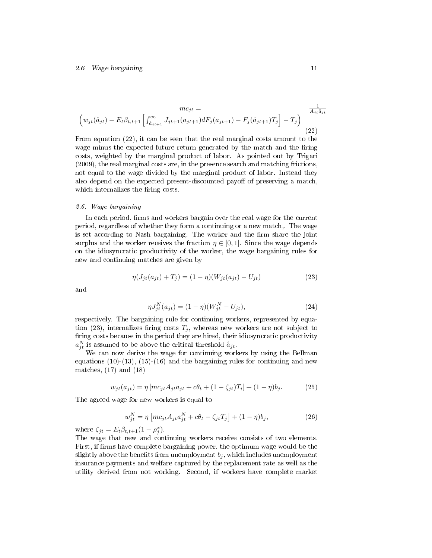#### 2.6 Wage bargaining 11

$$
mc_{jt} = \frac{mc_{jt}}{\left(w_{jt}(\mathring{a}_{jt}) - E_t\beta_{t,t+1}\left[\int_{\mathring{a}_{jt+1}}^{\infty} J_{jt+1}(a_{jt+1})dF_j(a_{jt+1}) - F_j(\mathring{a}_{jt+1})T_j\right] - T_j\right)}
$$
\n(22)

From equation (22), it can be seen that the real marginal costs amount to the wage minus the expected future return generated by the match and the firing costs, weighted by the marginal product of labor. As pointed out by Trigari (2009), the real marginal costs are, in the presence search and matching frictions, not equal to the wage divided by the marginal product of labor. Instead they also depend on the expected present-discounted payoff of preserving a match, which internalizes the firing costs.

#### 2.6. Wage bargaining

In each period, firms and workers bargain over the real wage for the current period, regardless of whether they form a continuing or a new match,. The wage is set according to Nash bargaining. The worker and the firm share the joint surplus and the worker receives the fraction  $\eta \in [0,1]$ . Since the wage depends on the idiosyncratic productivity of the worker, the wage bargaining rules for new and continuing matches are given by

$$
\eta(J_{jt}(a_{jt}) + T_j) = (1 - \eta)(W_{jt}(a_{jt}) - U_{jt})
$$
\n(23)

and

$$
\eta J_{jt}^{N}(a_{jt}) = (1 - \eta)(W_{jt}^{N} - U_{jt}), \qquad (24)
$$

respectively. The bargaining rule for continuing workers, represented by equation (23), internalizes firing costs  $T_j$ , whereas new workers are not subject to firing costs because in the period they are hired, their idiosyncratic productivity  $a_{jt}^N$  is assumed to be above the critical threshold  $\aa_{jt}$ .

We can now derive the wage for continuing workers by using the Bellman equations  $(10)-(13)$ ,  $(15)-(16)$  and the bargaining rules for continuing and new matches,  $(17)$  and  $(18)$ 

$$
w_{jt}(a_{jt}) = \eta \left[ mc_{jt} A_{jt} a_{jt} + c \theta_t + (1 - \zeta_{jt}) T_i \right] + (1 - \eta) b_j.
$$
 (25)

The agreed wage for new workers is equal to

$$
w_{jt}^{N} = \eta \left[ mc_{jt} A_{jt} a_{jt}^{N} + c \theta_{t} - \zeta_{jt} T_{j} \right] + (1 - \eta) b_{j}, \qquad (26)
$$

where  $\zeta_{jt} = E_t \beta_{t,t+1} (1 - \rho_j^x)$ .

The wage that new and continuing workers receive consists of two elements. First, if firms have complete bargaining power, the optimum wage would be the slightly above the benefits from unemployment  $b_i$ , which includes unemployment insurance payments and welfare captured by the replacement rate as well as the utility derived from not working. Second, if workers have complete market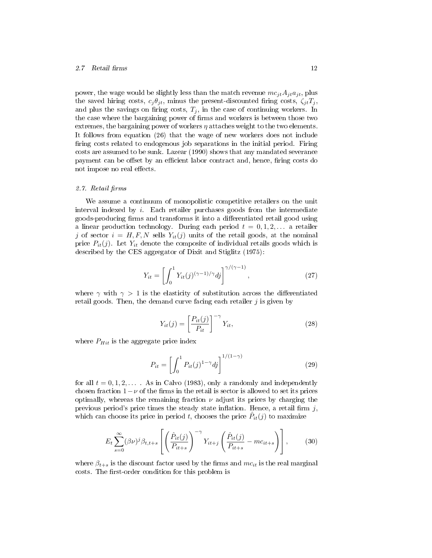#### 2.7 Retail firms 12

power, the wage would be slightly less than the match revenue  $mc_{jt}A_{jt}a_{jt}$ , plus the saved hiring costs,  $c_j \theta_{jt}$ , minus the present-discounted firing costs,  $\zeta_{jt}T_j$ , and plus the savings on firing costs,  $T_j$ , in the case of continuing workers. In the case where the bargaining power of firms and workers is between those two extremes, the bargaining power of workers  $\eta$  attaches weight to the two elements. It follows from equation (26) that the wage of new workers does not include firing costs related to endogenous job separations in the initial period. Firing costs are assumed to be sunk. Lazear (1990) shows that any mandated severance payment can be offset by an efficient labor contract and, hence, firing costs do not impose no real effects.

#### 2.7. Retail firms

We assume a continuum of monopolistic competitive retailers on the unit interval indexed by  $i$ . Each retailer purchases goods from the intermediate goods-producing firms and transforms it into a differentiated retail good using a linear production technology. During each period  $t = 0, 1, 2, \ldots$  a retailer j of sector  $i = H, F, N$  sells  $Y_{it}(j)$  units of the retail goods, at the nominal price  $P_{it}(j)$ . Let  $Y_{it}$  denote the composite of individual retails goods which is described by the CES aggregator of Dixit and Stiglitz (1975):

$$
Y_{it} = \left[ \int_0^1 Y_{it}(j)^{(\gamma - 1)/\gamma} dj \right]^{\gamma/(\gamma - 1)}, \qquad (27)
$$

where  $\gamma$  with  $\gamma > 1$  is the elasticity of substitution across the differentiated retail goods. Then, the demand curve facing each retailer  $j$  is given by

$$
Y_{it}(j) = \left[\frac{P_{it}(j)}{P_{it}}\right]^{-\gamma} Y_{it},\tag{28}
$$

where  $P_{Hit}$  is the aggregate price index

$$
P_{it} = \left[ \int_0^1 P_{it}(j)^{1-\gamma} dj \right]^{1/(1-\gamma)}
$$
\n(29)

for all  $t = 0, 1, 2, \ldots$  . As in Calvo (1983), only a randomly and independently chosen fraction  $1-\nu$  of the firms in the retail is sector is allowed to set its prices optimally, whereas the remaining fraction  $\nu$  adjust its prices by charging the previous period's price times the steady state inflation. Hence, a retail firm  $j$ , which can choose its price in period t, chooses the price  $\hat{P}_{it}(j)$  to maximize

$$
E_t \sum_{s=0}^{\infty} (\beta \nu)^j \beta_{t,t+s} \left[ \left( \frac{\hat{P}_{it}(j)}{P_{it+s}} \right)^{-\gamma} Y_{it+j} \left( \frac{\hat{P}_{it}(j)}{P_{it+s}} - mc_{it+s} \right) \right],
$$
 (30)

where  $\beta_{t+s}$  is the discount factor used by the firms and  $mc_{it}$  is the real marginal costs. The first-order condition for this problem is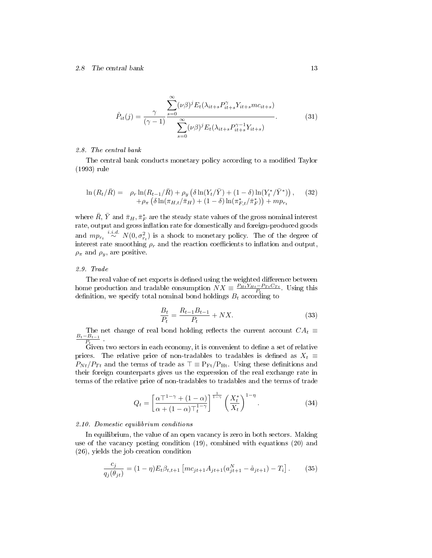#### 2.8 The central bank 13

$$
\hat{P}_{it}(j) = \frac{\gamma}{(\gamma - 1)} \frac{\sum_{s=0}^{\infty} (\nu \beta)^j E_t(\lambda_{it+s} P_{it+s}^{\gamma} Y_{it+s} m c_{it+s})}{\sum_{s=0}^{\infty} (\nu \beta)^j E_t(\lambda_{it+s} P_{it+s}^{\gamma - 1} Y_{it+s})}.
$$
(31)

#### 2.8. The central bank

The central bank conducts monetary policy according to a modified Taylor (1993) rule

$$
\ln (R_t/\bar{R}) = \rho_r \ln(R_{t-1}/\bar{R}) + \rho_y \left( \delta \ln(Y_t/\bar{Y}) + (1-\delta) \ln(Y_t^*/\bar{Y}^*) \right), \quad (32) + \rho_\pi \left( \delta \ln(\pi_{H,t}/\bar{\pi}_H) + (1-\delta) \ln(\pi_{F,t}^*/\bar{\pi}_F^*) \right) + m p_{r_t}
$$

where  $\bar{R},\,\bar{Y}$  and  $\bar{\pi}_H,\bar{\pi}^*_F$  are the steady state values of the gross nominal interest rate, output and gross inflation rate for domestically and foreign-produced goods and  $mp_{r_t} \stackrel{i.i.d.}{\sim} N(0, \sigma_{r_t}^2)$  is a shock to monetary policy. The of the degree of interest rate smoothing  $\rho_r$  and the reaction coefficients to inflation and output,  $\rho_{\pi}$  and  $\rho_{y}$ , are positive.

#### 2.9. Trade

The real value of net exports is defined using the weighted difference between home production and tradable consumption  $NX \equiv \frac{P_{Ht}Y_{Ht}-P_{Tt}C_{Tt}}{P_t}$ . Using this definition, we specify total nominal bond holdings  $B_t$  according to

$$
\frac{B_t}{P_t} = \frac{R_{t-1}B_{t-1}}{P_t} + N X.
$$
\n(33)

The net change of real bond holding reflects the current account  $CA_t \equiv$  $B_t-B_{t-1}$  $\frac{-B_{t-1}}{P_t}$ 

Given two sectors in each economy, it is convenient to define a set of relative prices. The relative price of non-tradables to tradables is defined as  $X_t \equiv$  $P_{Nt}/P_{Tt}$  and the terms of trade as  $\top \equiv P_{\rm Ft}/P_{\rm Ht}$ . Using these definitions and their foreign counterparts gives us the expression of the real exchange rate in terms of the relative price of non-tradables to tradables and the terms of trade

$$
Q_t = \left[\frac{\alpha \top^{1-\gamma} + (1-\alpha)}{\alpha + (1-\alpha)\top_t^{1-\gamma}}\right]^{\frac{1}{1-\gamma}} \left(\frac{X_t^*}{X_t}\right)^{1-\eta}.
$$
 (34)

#### 2.10. Domestic equilibrium conditions

In equilibrium, the value of an open vacancy is zero in both sectors. Making use of the vacancy posting condition (19), combined with equations (20) and (26), yields the job creation condition

$$
\frac{c_j}{q_j(\theta_{jt})} = (1 - \eta) E_t \beta_{t,t+1} \left[ mc_{jt+1} A_{jt+1} (a_{jt+1}^N - \mathring{a}_{jt+1}) - T_i \right]. \tag{35}
$$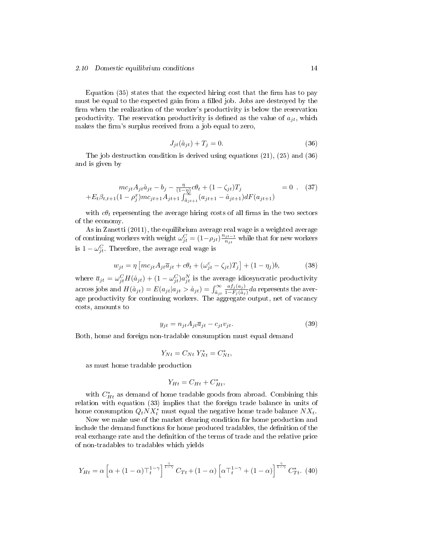#### 2.10 Domestic equilibrium conditions 14

Equation  $(35)$  states that the expected hiring cost that the firm has to pay must be equal to the expected gain from a filled job. Jobs are destroyed by the firm when the realization of the worker's productivity is below the reservation productivity. The reservation productivity is defined as the value of  $a_{it}$ , which makes the firm's surplus received from a job equal to zero,

$$
J_{jt}(\mathring{a}_{jt}) + T_j = 0. \tag{36}
$$

The job destruction condition is derived using equations (21), (25) and (36) and is given by

$$
mc_{jt}A_{jt}\mathring{a}_{jt} - b_j - \frac{\eta}{(1-\eta)}c\theta_t + (1-\zeta_{jt})T_j = 0.
$$
 (37)  
+ $E_t\beta_{t,t+1}(1-\rho_j^x)mc_{jt+1}A_{jt+1}\int_{\mathring{a}_{jt+1}}^{\infty}(a_{jt+1} - \mathring{a}_{jt+1})dF(a_{jt+1})$ 

with  $c\theta_t$  representing the average hiring costs of all firms in the two sectors of the economy.

As in Zanetti (2011), the equilibrium average real wage is a weighted average of continuing workers with weight  $\omega_{jt}^C = (1 - \rho_{jt}) \frac{n_{jt-1}}{n_{it}}$  $\frac{ijt-1}{n_{jt}}$  while that for new workers is  $1 - \omega_{jt}^C$ . Therefore, the average real wage is

$$
w_{jt} = \eta \left[ mc_{jt} A_{jt} \overline{a}_{jt} + c\theta_t + (\omega_{jt}^c - \zeta_{jt})T_j \right] + (1 - \eta_j)b,
$$
 (38)

where  $\overline{a}_{jt} = \omega_{jt}^C H(\aa_{jt}) + (1 - \omega_{jt}^C)a_{jt}^N$  is the average idiosyncratic productivity across jobs and  $H(\aa_{jt}) = E(a_{jt}|a_{jt} > \aa_{jt}) = \int_{\aa_{jt}}^{\infty}$  $af_j(a_j)$  $\frac{a_{Jj}(a_j)}{1-F_j(\aa_j)}da$  represents the average productivity for continuing workers. The aggregate output, net of vacancy costs, amounts to

$$
y_{jt} = n_{jt} A_{jt} \overline{a}_{jt} - c_{jt} v_{jt}.
$$
\n(39)

Both, home and foreign non-tradable consumption must equal demand

$$
Y_{Nt} = C_{Nt} Y_{Nt}^* = C_{Nt}^*,
$$

as must home tradable production

$$
Y_{Ht} = C_{Ht} + C_{Ht}^*,
$$

with  $C_{Ht}^{*}$  as demand of home tradable goods from abroad. Combining this relation with equation (33) implies that the foreign trade balance in units of home consumption  $Q_tNX_t^*$  must equal the negative home trade balance  $NX_t$ .

Now we make use of the market clearing condition for home production and include the demand functions for home produced tradables, the definition of the real exchange rate and the definition of the terms of trade and the relative price of non-tradables to tradables which yields

$$
Y_{Ht} = \alpha \left[ \alpha + (1 - \alpha) \top_t^{1 - \gamma} \right]^{\frac{\gamma}{1 - \gamma}} C_{Tt} + (1 - \alpha) \left[ \alpha \top_t^{1 - \gamma} + (1 - \alpha) \right]^{\frac{\gamma}{1 - \gamma}} C_{Tt}^* . \tag{40}
$$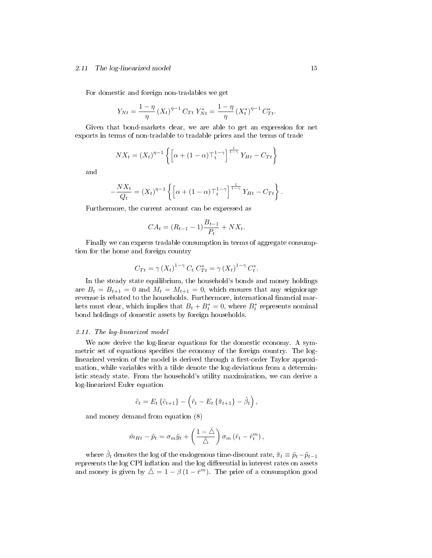#### 2.11 The log-linearized model 15

For domestic and foreign non-tradables we get

$$
Y_{Nt} = \frac{1 - \eta}{\eta} (X_t)^{\eta - 1} C_{Tt} Y_{Nt}^* = \frac{1 - \eta}{\eta} (X_t^*)^{\eta - 1} C_{Tt}^*.
$$

Given that bond-markets clear, we are able to get an expression for net exports in terms of non-tradable to tradable prices and the terms of trade

$$
NX_t = (X_t)^{\eta - 1} \left\{ \left[ \alpha + (1 - \alpha) \top_t^{1 - \gamma} \right]^{\frac{1}{1 - \gamma}} Y_{Ht} - C_{Tt} \right\}
$$

and

$$
-\frac{NX_t}{Q_t} = (X_t)^{\eta - 1} \left\{ \left[ \alpha + (1 - \alpha) \top_t^{1 - \gamma} \right]^{\frac{1}{1 - \gamma}} Y_{Ht} - C_{Tt} \right\}.
$$

Furthermore, the current account can be expressed as

$$
CA_t = (R_{t-1} - 1)\frac{B_{t-1}}{P_t} + N X_t.
$$

Finally we can express tradable consumption in terms of aggregate consumption for the home and foreign country

$$
C_{Tt} = \gamma (X_t)^{1-\gamma} C_t C_{Tt}^* = \gamma (X_t)^{1-\gamma} C_t^*.
$$

In the steady state equilibrium, the household's bonds and money holdings are  $B_t = B_{t+1} = 0$  and  $M_t = M_{t+1} = 0$ , which ensures that any seigniorage revenue is rebated to the households. Furthermore, international financial markets must clear, which implies that  $B_t + B_t^* = 0$ , where  $B_t^*$  represents nominal bond holdings of domestic assets by foreign households.

#### 2.11. The log-linearized model

We now derive the log-linear equations for the domestic economy. A symmetric set of equations specifies the economy of the foreign country. The loglinearized version of the model is derived through a first-order Taylor approximation, while variables with a tilde denote the log-deviations from a deterministic steady state. From the household's utility maximization, we can derive a log-linearized Euler equation

$$
\tilde{c}_t = E_t \left\{ \tilde{c}_{t+1} \right\} - \left( \tilde{r}_t - E_t \left\{ \tilde{\pi}_{t+1} \right\} - \hat{\beta}_t \right),
$$

and money demand from equation (8)

$$
\tilde{m}_{Ht} - \tilde{p}_t = \sigma_m \tilde{y}_t + \left(\frac{1-\bar{\triangle}}{\bar{\triangle}}\right) \sigma_m \left(\hat{r}_t - \hat{r}_t^m\right),\,
$$

where  $\hat{\beta}_t$  denotes the log of the endogenous time-discount rate,  $\tilde{\pi}_t \equiv \tilde{p}_t - \tilde{p}_{t-1}$ represents the log CPI inflation and the log differential in interest rates on assets and money is given by  $\bar{\triangle} = 1 - \beta (1 - \bar{r}^m)$ . The price of a consumption good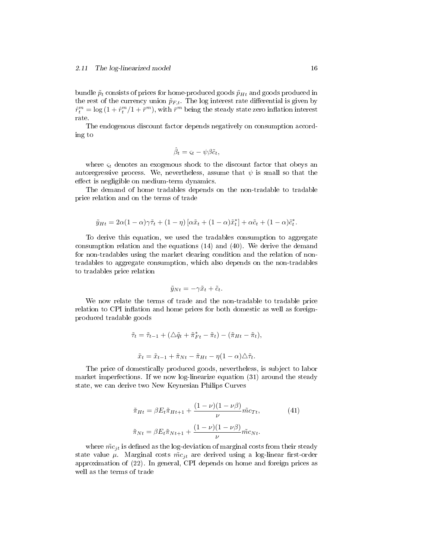bundle  $\tilde{p}_t$  consists of prices for home-produced goods  $\tilde{p}_{Ht}$  and goods produced in the rest of the currency union  $\tilde{p}_{F,t}$ . The log interest rate differential is given by  $\hat{r}_t^m = \log{(1+\hat{r}_t^m/1+\bar{r}^m)},$  with  $\bar{r}^m$  being the steady state zero inflation interest rate.

The endogenous discount factor depends negatively on consumption according to

$$
\hat{\beta}_t = \varsigma_t - \psi \beta \tilde{c}_t,
$$

where  $\varsigma_t$  denotes an exogenous shock to the discount factor that obeys an autoregressive process. We, nevertheless, assume that  $\psi$  is small so that the effect is negligible on medium-term dynamics.

The demand of home tradables depends on the non-tradable to tradable price relation and on the terms of trade

$$
\tilde{y}_{Ht} = 2\alpha(1-\alpha)\gamma\tilde{\tau}_t + (1-\eta)\left[\alpha\tilde{x}_t + (1-\alpha)\tilde{x}_t^*\right] + \alpha\tilde{c}_t + (1-\alpha)\tilde{c}_t^*.
$$

To derive this equation, we used the tradables consumption to aggregate consumption relation and the equations (14) and (40). We derive the demand for non-tradables using the market clearing condition and the relation of nontradables to aggregate consumption, which also depends on the non-tradables to tradables price relation

$$
\tilde{y}_{Nt} = -\gamma \tilde{x}_t + \tilde{c}_t.
$$

We now relate the terms of trade and the non-tradable to tradable price relation to CPI inflation and home prices for both domestic as well as foreignproduced tradable goods

$$
\tilde{\tau}_t = \tilde{\tau}_{t-1} + (\Delta \tilde{q}_t + \tilde{\pi}_{Ft}^* - \tilde{\pi}_t) - (\tilde{\pi}_{Ht} - \tilde{\pi}_t),
$$
  

$$
\tilde{x}_t = \tilde{x}_{t-1} + \tilde{\pi}_{Nt} - \tilde{\pi}_{Ht} - \eta (1 - \alpha) \Delta \tilde{\tau}_t.
$$

The price of domestically produced goods, nevertheless, is subject to labor market imperfections. If we now log-linearize equation (31) around the steady state, we can derive two New Keynesian Philips Curves

$$
\tilde{\pi}_{Ht} = \beta E_t \tilde{\pi}_{Ht+1} + \frac{(1 - \nu)(1 - \nu \beta)}{\nu} \tilde{m} c_{Tt},
$$
\n(41)  
\n
$$
\tilde{\pi}_{Nt} = \beta E_t \tilde{\pi}_{Nt+1} + \frac{(1 - \nu)(1 - \nu \beta)}{\nu} \tilde{m} c_{Nt}.
$$

where  $\tilde{mc}_{it}$  is defined as the log-deviation of marginal costs from their steady state value  $\mu$ . Marginal costs  $\tilde{mc}_{it}$  are derived using a log-linear first-order approximation of (22). In general, CPI depends on home and foreign prices as well as the terms of trade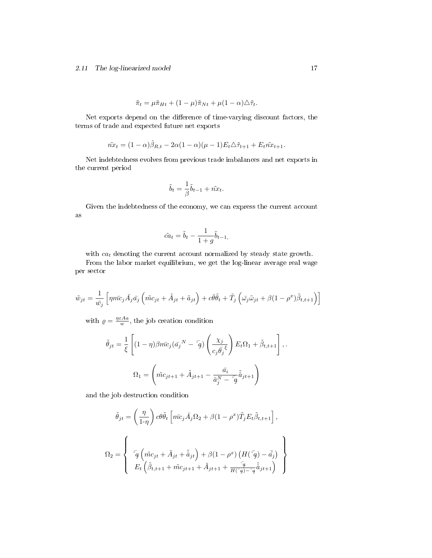$$
\tilde{\pi}_t = \mu \tilde{\pi}_{Ht} + (1 - \mu)\tilde{\pi}_{Nt} + \mu(1 - \alpha)\Delta \tilde{\tau}_t.
$$

Net exports depend on the difference of time-varying discount factors, the terms of trade and expected future net exports

$$
\tilde{n}x_t = (1 - \alpha)\hat{\beta}_{R,t} - 2\alpha(1 - \alpha)(\mu - 1)E_t\Delta\tilde{\tau}_{t+1} + E_t\tilde{n}x_{t+1}.
$$

Net indebtedness evolves from previous trade imbalances and net exports in the current period

$$
\tilde{b}_t = \frac{1}{\beta}\tilde{b}_{t-1} + \tilde{n}x_t.
$$

Given the indebtedness of the economy, we can express the current account as

$$
\tilde{ca}_t = \tilde{b}_t - \frac{1}{1+g} \tilde{b}_{t-1},
$$

with  $ca_t$  denoting the current account normalized by steady state growth.

From the labor market equilibrium, we get the log-linear average real wage per sector

$$
\tilde{w}_{jt} = \frac{1}{\bar{w}_j} \left[ \eta \bar{m} \bar{c}_j \bar{A}_j \bar{a}_j \left( \tilde{m} c_{jt} + \tilde{A}_{jt} + \tilde{a}_{jt} \right) + c \bar{\theta} \tilde{\theta}_t + \tilde{T}_j \left( \bar{\omega}_j \tilde{\omega}_{jt} + \beta (1 - \rho^x) \tilde{\beta}_{t,t+1} \right) \right]
$$

with  $\rho = \frac{\eta \varepsilon A a}{w}$ , the job creation condition

$$
\tilde{\theta}_{jt} = \frac{1}{\xi} \left[ (1 - \eta) \beta m \bar{c}_j (\bar{a}_j{}^N - \bar{g}) \left( \frac{\chi_j}{c_j \bar{\theta}_j} \right) E_t \Omega_1 + \tilde{\beta}_{t,t+1} \right],
$$

$$
\Omega_1 = \left( \tilde{m} c_{jt+1} + \tilde{A}_{jt+1} - \frac{\bar{a}_i}{\bar{a}_j^N - \bar{g}} \tilde{\dot{a}}_{jt+1} \right)
$$

and the job destruction condition

$$
\tilde{\theta}_{jt} = \left(\frac{\eta}{1-\eta}\right) c\theta \tilde{\theta}_t \left[ m\bar{c}_j \bar{A}_j \Omega_2 + \beta (1-\rho^x) \tilde{T}_j E_t \tilde{\beta}_{t,t+1} \right],
$$
\n
$$
\Omega_2 = \left\{ \begin{array}{c} \bar{c}_g \left( \tilde{m}c_{jt} + \tilde{A}_{jt} + \tilde{\mathring{a}}_{jt} \right) + \beta (1-\rho^x) \left( H(\bar{c}_g) - \bar{\mathring{a}}_j \right) \\ E_t \left( \tilde{\beta}_{t,t+1} + \tilde{m}c_{jt+1} + \tilde{A}_{jt+1} + \frac{\bar{c}_g}{H(\bar{c}_g) - \bar{c}_g} \tilde{\mathring{a}}_{jt+1} \right) \end{array} \right\}
$$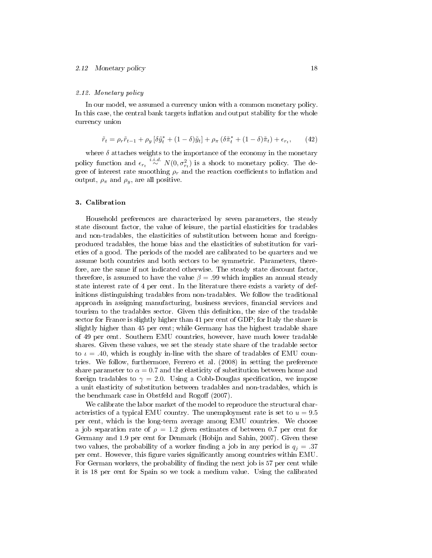#### 2.12. Monetary policy

In our model, we assumed a currency union with a common monetary policy. In this case, the central bank targets inflation and output stability for the whole currency union

$$
\tilde{r}_t = \rho_r \tilde{r}_{t-1} + \rho_y \left[ \delta \tilde{y}_t^* + (1 - \delta) \tilde{y}_t \right] + \rho_\pi \left( \delta \tilde{\pi}_t^* + (1 - \delta) \tilde{\pi}_t \right) + \epsilon_{r_t}, \qquad (42)
$$

where  $\delta$  attaches weights to the importance of the economy in the monetary policy function and  $\epsilon_{r_t} \stackrel{i.i.d.}{\sim} N(0, \sigma_{r_t}^2)$  is a shock to monetary policy. The degree of interest rate smoothing  $\rho_r$  and the reaction coefficients to inflation and output,  $\rho_{\pi}$  and  $\rho_{y}$ , are all positive.

#### 3. Calibration

Household preferences are characterized by seven parameters, the steady state discount factor, the value of leisure, the partial elasticities for tradables and non-tradables, the elasticities of substitution between home and foreignproduced tradables, the home bias and the elasticities of substitution for varieties of a good. The periods of the model are calibrated to be quarters and we assume both countries and both sectors to be symmetric. Parameters, therefore, are the same if not indicated otherwise. The steady state discount factor, therefore, is assumed to have the value  $\beta = .99$  which implies an annual steady state interest rate of 4 per cent. In the literature there exists a variety of definitions distinguishing tradables from non-tradables. We follow the traditional approach in assigning manufacturing, business services, financial services and tourism to the tradables sector. Given this denition, the size of the tradable sector for France is slightly higher than 41 per cent of GDP; for Italy the share is slightly higher than 45 per cent; while Germany has the highest tradable share of 49 per cent. Southern EMU countries, however, have much lower tradable shares. Given these values, we set the steady state share of the tradable sector to  $\iota = .40$ , which is roughly in-line with the share of tradables of EMU countries. We follow, furthermore, Ferrero et al. (2008) in setting the preference share parameter to  $\alpha = 0.7$  and the elasticity of substitution between home and foreign tradables to  $\gamma = 2.0$ . Using a Cobb-Douglas specification, we impose a unit elasticity of substitution between tradables and non-tradables, which is the benchmark case in Obstfeld and Rogoff  $(2007)$ .

We calibrate the labor market of the model to reproduce the structural characteristics of a typical EMU country. The unemployment rate is set to  $u = 9.5$ per cent, which is the long-term average among EMU countries. We choose a job separation rate of  $\rho = 1.2$  given estimates of between 0.7 per cent for Germany and 1.9 per cent for Denmark (Hobijn and Sahin, 2007). Given these two values, the probability of a worker finding a job in any period is  $q_i = .37$ per cent. However, this figure varies significantly among countries within EMU. For German workers, the probability of finding the next job is 57 per cent while it is 18 per cent for Spain so we took a medium value. Using the calibrated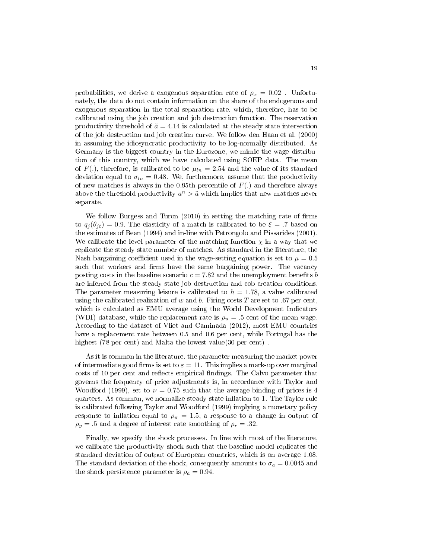probabilities, we derive a exogenous separation rate of  $\rho_x = 0.02$ . Unfortunately, the data do not contain information on the share of the endogenous and exogenous separation in the total separation rate, which, therefore, has to be calibrated using the job creation and job destruction function. The reservation productivity threshold of  $\tilde{a} = 4.14$  is calculated at the steady state intersection of the job destruction and job creation curve. We follow den Haan et al. (2000) in assuming the idiosyncratic productivity to be log-normally distributed. As Germany is the biggest country in the Eurozone, we mimic the wage distribution of this country, which we have calculated using SOEP data. The mean of  $F(.)$ , therefore, is calibrated to be  $\mu_{ln} = 2.54$  and the value of its standard deviation equal to  $\sigma_{ln} = 0.48$ . We, furthermore, assume that the productivity of new matches is always in the 0.95th percentile of  $F(.)$  and therefore always above the threshold productivity  $a^n > \tilde{a}$  which implies that new matches never separate.

We follow Burgess and Turon  $(2010)$  in setting the matching rate of firms to  $q_i(\theta_{it}) = 0.9$ . The elasticity of a match is calibrated to be  $\xi = .7$  based on the estimates of Bean (1994) and in-line with Petrongolo and Pissarides (2001). We calibrate the level parameter of the matching function  $\chi$  in a way that we replicate the steady state number of matches. As standard in the literature, the Nash bargaining coefficient used in the wage-setting equation is set to  $\mu = 0.5$ such that workers and firms have the same bargaining power. The vacancy posting costs in the baseline scenario  $c = 7.82$  and the unemployment benefits b are inferred from the steady state job destruction and cob-creation conditions. The parameter measuring leisure is calibrated to  $h = 1.78$ , a value calibrated using the calibrated realization of w and b. Firing costs  $T$  are set to .67 per cent, which is calculated as EMU average using the World Development Indicators (WDI) database, while the replacement rate is  $\rho_u = .5$  cent of the mean wage. According to the dataset of Vliet and Caminada (2012), most EMU countries have a replacement rate between 0.5 and 0.6 per cent, while Portugal has the highest (78 per cent) and Malta the lowest value(30 per cent).

As it is common in the literature, the parameter measuring the market power of intermediate good firms is set to  $\varepsilon = 11$ . This implies a mark-up over marginal costs of 10 per cent and reflects empirical findings. The Calvo parameter that governs the frequency of price adjustments is, in accordance with Taylor and Woodford (1999), set to  $\nu = 0.75$  such that the average binding of prices is 4 quarters. As common, we normalize steady state inflation to 1. The Taylor rule is calibrated following Taylor and Woodford (1999) implying a monetary policy response to inflation equal to  $\rho_{\pi} = 1.5$ , a response to a change in output of  $\rho_y = .5$  and a degree of interest rate smoothing of  $\rho_r = .32$ .

Finally, we specify the shock processes. In line with most of the literature, we calibrate the productivity shock such that the baseline model replicates the standard deviation of output of European countries, which is on average 1.08. The standard deviation of the shock, consequently amounts to  $\sigma_a = 0.0045$  and the shock persistence parameter is  $\rho_a = 0.94$ .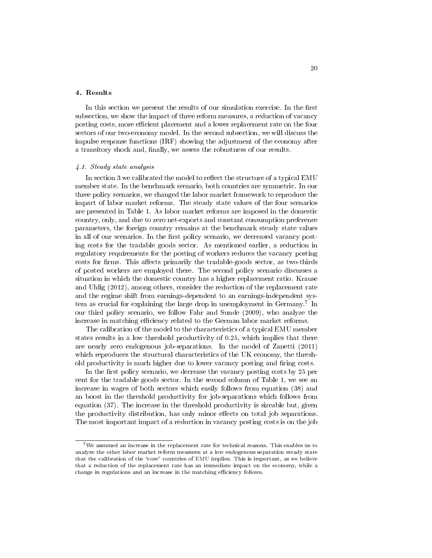#### 4. Results

In this section we present the results of our simulation exercise. In the first subsection, we show the impact of three reform measures, a reduction of vacancy posting costs, more efficient placement and a lower replacement rate on the four sectors of our two-economy model. In the second subsection, we will discuss the impulse response functions (IRF) showing the adjustment of the economy after a transitory shock and, finally, we assess the robustness of our results.

#### 4.1. Steady state analysis

In section 3 we calibrated the model to reflect the structure of a typical EMU member state. In the benchmark scenario, both countries are symmetric. In our three policy scenarios, we changed the labor market framework to reproduce the impact of labor market reforms. The steady state values of the four scenarios are presented in Table 1. As labor market reforms are imposed in the domestic country, only, and due to zero net-exports and constant consumption preference parameters, the foreign country remains at the benchmark steady state values in all of our scenarios. In the first policy scenario, we decreased vacancy posting costs for the tradable goods sector. As mentioned earlier, a reduction in regulatory requirements for the posting of workers reduces the vacancy posting costs for firms. This affects primarily the tradable-goods sector, as two-thirds of posted workers are employed there. The second policy scenario discusses a situation in which the domestic country has a higher replacement ratio. Krause and Uhlig (2012), among others, consider the reduction of the replacement rate and the regime shift from earnings-dependent to an earnings-independent system as crucial for explaining the large drop in unemployment in Germany.<sup>7</sup> In our third policy scenario, we follow Fahr and Sunde (2009), who analyze the increase in matching efficiency related to the German labor market reforms.

The calibration of the model to the characteristics of a typical EMU member states results in a low threshold productivity of 0.25, which implies that there are nearly zero endogenous job-separations. In the model of Zanetti (2011) which reproduces the structural characteristics of the UK economy, the threshold productivity is much higher due to lower vacancy posting and firing costs.

In the first policy scenario, we decrease the vacancy posting costs by 25 per cent for the tradable goods sector. In the second column of Table 1, we see an increase in wages of both sectors which easily follows from equation (38) and an boost in the threshold productivity for job-separations which follows from equation (37). The increase in the threshold productivity is sizeable but, given the productivity distribution, has only minor effects on total job separations. The most important impact of a reduction in vacancy posting costs is on the job

 $7$ We assumed an increase in the replacement rate for technical reasons. This enables us to analyze the other labor market reform measures at a low endogenous separation steady state that the calibration of the "core" countries of EMU implies. This is important, as we believe that a reduction of the replacement rate has an immediate impact on the economy, while a change in regulations and an increase in the matching efficiency follows.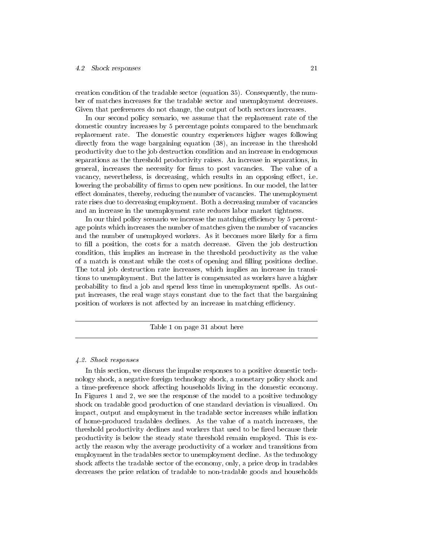creation condition of the tradable sector (equation 35). Consequently, the number of matches increases for the tradable sector and unemployment decreases. Given that preferences do not change, the output of both sectors increases.

In our second policy scenario, we assume that the replacement rate of the domestic country increases by 5 percentage points compared to the benchmark replacement rate. The domestic country experiences higher wages following directly from the wage bargaining equation (38), an increase in the threshold productivity due to the job destruction condition and an increase in endogenous separations as the threshold productivity raises. An increase in separations, in general, increases the necessity for firms to post vacancies. The value of a vacancy, nevertheless, is decreasing, which results in an opposing effect, i.e. lowering the probability of firms to open new positions. In our model, the latter effect dominates, thereby, reducing the number of vacancies. The unemployment rate rises due to decreasing employment. Both a decreasing number of vacancies and an increase in the unemployment rate reduces labor market tightness.

In our third policy scenario we increase the matching efficiency by  $5$  percentage points which increases the number of matches given the number of vacancies and the number of unemployed workers. As it becomes more likely for a firm to fill a position, the costs for a match decrease. Given the job destruction condition, this implies an increase in the threshold productivity as the value of a match is constant while the costs of opening and filling positions decline. The total job destruction rate increases, which implies an increase in transitions to unemployment. But the latter is compensated as workers have a higher probability to find a job and spend less time in unemployment spells. As output increases, the real wage stays constant due to the fact that the bargaining position of workers is not affected by an increase in matching efficiency.

Table 1 on page 31 about here

#### 4.2. Shock responses

In this section, we discuss the impulse responses to a positive domestic technology shock, a negative foreign technology shock, a monetary policy shock and a time-preference shock affecting households living in the domestic economy. In Figures 1 and 2, we see the response of the model to a positive technology shock on tradable good production of one standard deviation is visualized. On impact, output and employment in the tradable sector increases while inflation of home-produced tradables declines. As the value of a match increases, the threshold productivity declines and workers that used to be fired because their productivity is below the steady state threshold remain employed. This is exactly the reason why the average productivity of a worker and transitions from employment in the tradables sector to unemployment decline. As the technology shock affects the tradable sector of the economy, only, a price drop in tradables decreases the price relation of tradable to non-tradable goods and households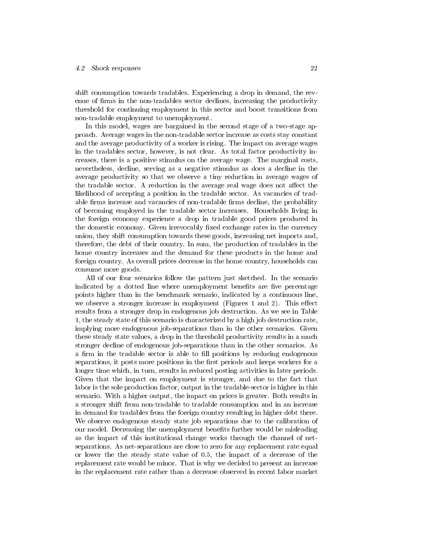shift consumption towards tradables. Experiencing a drop in demand, the revenue of firms in the non-tradables sector declines, increasing the productivity threshold for continuing employment in this sector and boost transitions from non-tradable employment to unemployment.

In this model, wages are bargained in the second stage of a two-stage approach. Average wages in the non-tradable sector increase as costs stay constant and the average productivity of a worker is rising. The impact on average wages in the tradables sector, however, is not clear. As total factor productivity increases, there is a positive stimulus on the average wage. The marginal costs, nevertheless, decline, serving as a negative stimulus as does a decline in the average productivity so that we observe a tiny reduction in average wages of the tradable sector. A reduction in the average real wage does not affect the likelihood of accepting a position in the tradable sector. As vacancies of tradable firms increase and vacancies of non-tradable firms decline, the probability of becoming employed in the tradable sector increases. Households living in the foreign economy experience a drop in tradable good prices produced in the domestic economy. Given irrevocably fixed exchange rates in the currency union, they shift consumption towards these goods, increasing net imports and, therefore, the debt of their country. In sum, the production of tradables in the home country increases and the demand for these products in the home and foreign country. As overall prices decrease in the home country, households can consume more goods.

All of our four scenarios follow the pattern just sketched. In the scenario indicated by a dotted line where unemployment benefits are five percentage points higher than in the benchmark scenario, indicated by a continuous line, we observe a stronger increase in employment (Figures 1 and 2). This effect results from a stronger drop in endogenous job destruction. As we see in Table 1, the steady state of this scenario is characterized by a high job destruction rate, implying more endogenous job-separations than in the other scenarios. Given these steady state values, a drop in the threshold productivity results in a much stronger decline of endogenous job-separations than in the other scenarios. As a firm in the tradable sector is able to fill positions by reducing endogenous separations, it posts more positions in the first periods and keeps workers for a longer time which, in turn, results in reduced posting activities in later periods. Given that the impact on employment is stronger, and due to the fact that labor is the sole production factor, output in the tradable-sector is higher in this scenario. With a higher output, the impact on prices is greater. Both results in a stronger shift from non-tradable to tradable consumption and in an increase in demand for tradables from the foreign country resulting in higher debt there. We observe endogenous steady state job separations due to the calibration of our model. Decreasing the unemployment benefits further would be misleading as the impact of this institutional change works through the channel of netseparations. As net-separations are close to zero for any replacement rate equal or lower the the steady state value of 0.5, the impact of a decrease of the replacement rate would be minor. That is why we decided to present an increase in the replacement rate rather than a decrease observed in recent labor market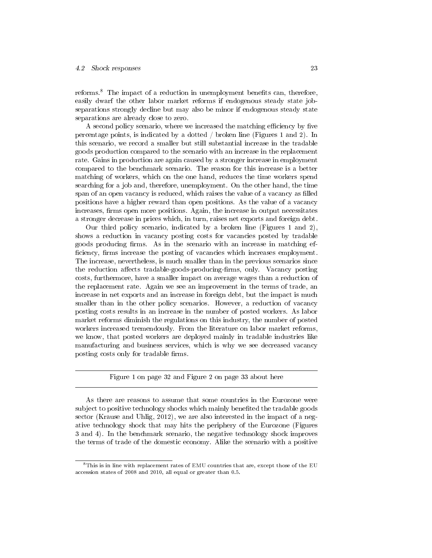reforms.<sup>8</sup> The impact of a reduction in unemployment benefits can, therefore, easily dwarf the other labor market reforms if endogenous steady state jobseparations strongly decline but may also be minor if endogenous steady state separations are already close to zero.

A second policy scenario, where we increased the matching efficiency by five percentage points, is indicated by a dotted / broken line (Figures 1 and 2). In this scenario, we record a smaller but still substantial increase in the tradable goods production compared to the scenario with an increase in the replacement rate. Gains in production are again caused by a stronger increase in employment compared to the benchmark scenario. The reason for this increase is a better matching of workers, which on the one hand, reduces the time workers spend searching for a job and, therefore, unemployment. On the other hand, the time span of an open vacancy is reduced, which raises the value of a vacancy as filled positions have a higher reward than open positions. As the value of a vacancy increases, firms open more positions. Again, the increase in output necessitates a stronger decrease in prices which, in turn, raises net exports and foreign debt.

Our third policy scenario, indicated by a broken line (Figures 1 and 2), shows a reduction in vacancy posting costs for vacancies posted by tradable goods producing firms. As in the scenario with an increase in matching efficiency, firms increase the posting of vacancies which increases employment. The increase, nevertheless, is much smaller than in the previous scenarios since the reduction affects tradable-goods-producing-firms, only. Vacancy posting costs, furthermore, have a smaller impact on average wages than a reduction of the replacement rate. Again we see an improvement in the terms of trade, an increase in net exports and an increase in foreign debt, but the impact is much smaller than in the other policy scenarios. However, a reduction of vacancy posting costs results in an increase in the number of posted workers. As labor market reforms diminish the regulations on this industry, the number of posted workers increased tremendously. From the literature on labor market reforms, we know, that posted workers are deployed mainly in tradable industries like manufacturing and business services, which is why we see decreased vacancy posting costs only for tradable firms.

Figure 1 on page 32 and Figure 2 on page 33 about here

As there are reasons to assume that some countries in the Eurozone were subject to positive technology shocks which mainly beneted the tradable goods sector (Krause and Uhlig, 2012), we are also interested in the impact of a negative technology shock that may hits the periphery of the Eurozone (Figures 3 and 4). In the benchmark scenario, the negative technology shock improves the terms of trade of the domestic economy. Alike the scenario with a positive

 $8$ This is in line with replacement rates of EMU countries that are, except those of the EU accession states of 2008 and 2010, all equal or greater than 0.5.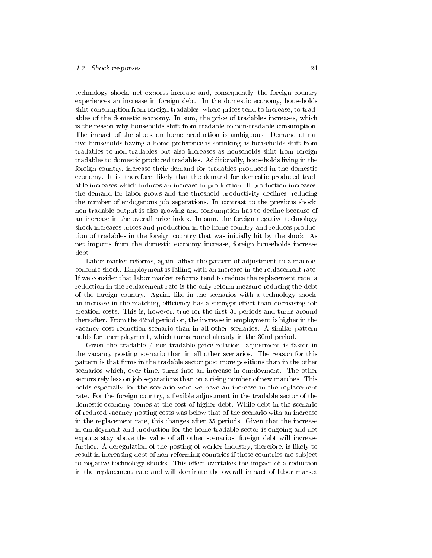technology shock, net exports increase and, consequently, the foreign country experiences an increase in foreign debt. In the domestic economy, households shift consumption from foreign tradables, where prices tend to increase, to tradables of the domestic economy. In sum, the price of tradables increases, which is the reason why households shift from tradable to non-tradable consumption. The impact of the shock on home production is ambiguous. Demand of native households having a home preference is shrinking as households shift from tradables to non-tradables but also increases as households shift from foreign tradables to domestic produced tradables. Additionally, households living in the foreign country, increase their demand for tradables produced in the domestic economy. It is, therefore, likely that the demand for domestic produced tradable increases which induces an increase in production. If production increases, the demand for labor grows and the threshold productivity declines, reducing the number of endogenous job separations. In contrast to the previous shock, non tradable output is also growing and consumption has to decline because of an increase in the overall price index. In sum, the foreign negative technology shock increases prices and production in the home country and reduces production of tradables in the foreign country that was initially hit by the shock. As net imports from the domestic economy increase, foreign households increase debt.

Labor market reforms, again, affect the pattern of adjustment to a macroeconomic shock. Employment is falling with an increase in the replacement rate. If we consider that labor market reforms tend to reduce the replacement rate, a reduction in the replacement rate is the only reform measure reducing the debt of the foreign country. Again, like in the scenarios with a technology shock, an increase in the matching efficiency has a stronger effect than decreasing job creation costs. This is, however, true for the first 31 periods and turns around thereafter. From the 42nd period on, the increase in employment is higher in the vacancy cost reduction scenario than in all other scenarios. A similar pattern holds for unemployment, which turns round already in the 30nd period.

Given the tradable / non-tradable price relation, adjustment is faster in the vacancy posting scenario than in all other scenarios. The reason for this pattern is that firms in the tradable sector post more positions than in the other scenarios which, over time, turns into an increase in employment. The other sectors rely less on job separations than on a rising number of new matches. This holds especially for the scenario were we have an increase in the replacement rate. For the foreign country, a flexible adjustment in the tradable sector of the domestic economy comes at the cost of higher debt. While debt in the scenario of reduced vacancy posting costs was below that of the scenario with an increase in the replacement rate, this changes after 35 periods. Given that the increase in employment and production for the home tradable sector is ongoing and net exports stay above the value of all other scenarios, foreign debt will increase further. A deregulation of the posting of worker industry, therefore, is likely to result in increasing debt of non-reforming countries if those countries are subject to negative technology shocks. This effect overtakes the impact of a reduction in the replacement rate and will dominate the overall impact of labor market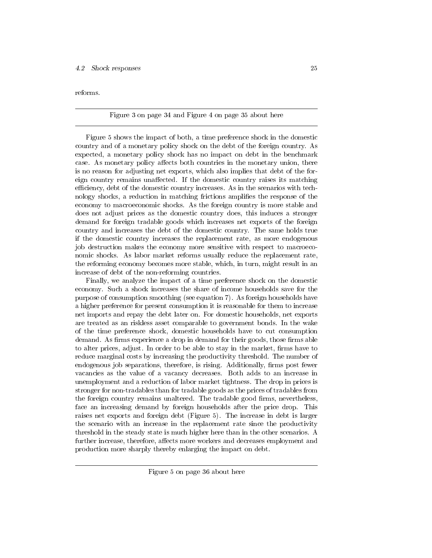reforms.

#### Figure 3 on page 34 and Figure 4 on page 35 about here

Figure 5 shows the impact of both, a time preference shock in the domestic country and of a monetary policy shock on the debt of the foreign country. As expected, a monetary policy shock has no impact on debt in the benchmark case. As monetary policy affects both countries in the monetary union, there is no reason for adjusting net exports, which also implies that debt of the foreign country remains unaffected. If the domestic country raises its matching efficiency, debt of the domestic country increases. As in the scenarios with technology shocks, a reduction in matching frictions amplifies the response of the economy to macroeconomic shocks. As the foreign country is more stable and does not adjust prices as the domestic country does, this induces a stronger demand for foreign tradable goods which increases net exports of the foreign country and increases the debt of the domestic country. The same holds true if the domestic country increases the replacement rate, as more endogenous job destruction makes the economy more sensitive with respect to macroeconomic shocks. As labor market reforms usually reduce the replacement rate, the reforming economy becomes more stable, which, in turn, might result in an increase of debt of the non-reforming countries.

Finally, we analyze the impact of a time preference shock on the domestic economy. Such a shock increases the share of income households save for the purpose of consumption smoothing (see equation 7). As foreign households have a higher preference for present consumption it is reasonable for them to increase net imports and repay the debt later on. For domestic households, net exports are treated as an riskless asset comparable to government bonds. In the wake of the time preference shock, domestic households have to cut consumption demand. As firms experience a drop in demand for their goods, those firms able to alter prices, adjust. In order to be able to stay in the market, firms have to reduce marginal costs by increasing the productivity threshold. The number of endogenous job separations, therefore, is rising. Additionally, firms post fewer vacancies as the value of a vacancy decreases. Both adds to an increase in unemployment and a reduction of labor market tightness. The drop in prices is stronger for non-tradables than for tradable goods as the prices of tradables from the foreign country remains unaltered. The tradable good firms, nevertheless, face an increasing demand by foreign households after the price drop. This raises net exports and foreign debt (Figure 5). The increase in debt is larger the scenario with an increase in the replacement rate since the productivity threshold in the steady state is much higher here than in the other scenarios. A further increase, therefore, affects more workers and decreases employment and production more sharply thereby enlarging the impact on debt.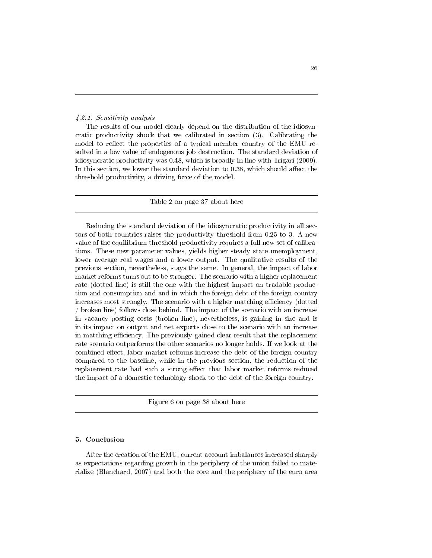#### 4.2.1. Sensitivity analysis

The results of our model clearly depend on the distribution of the idiosyncratic productivity shock that we calibrated in section (3). Calibrating the model to reflect the properties of a typical member country of the EMU resulted in a low value of endogenous job destruction. The standard deviation of idiosyncratic productivity was 0.48, which is broadly in line with Trigari (2009). In this section, we lower the standard deviation to  $0.38$ , which should affect the threshold productivity, a driving force of the model.

#### Table 2 on page 37 about here

Reducing the standard deviation of the idiosyncratic productivity in all sectors of both countries raises the productivity threshold from 0.25 to 3. A new value of the equilibrium threshold productivity requires a full new set of calibrations. These new parameter values, yields higher steady state unemployment, lower average real wages and a lower output. The qualitative results of the previous section, nevertheless, stays the same. In general, the impact of labor market reforms turns out to be stronger. The scenario with a higher replacement rate (dotted line) is still the one with the highest impact on tradable production and consumption and and in which the foreign debt of the foreign country increases most strongly. The scenario with a higher matching efficiency (dotted / broken line) follows close behind. The impact of the scenario with an increase in vacancy posting costs (broken line), nevertheless, is gaining in size and is in its impact on output and net exports close to the scenario with an increase in matching efficiency. The previously gained clear result that the replacement rate scenario outperforms the other scenarios no longer holds. If we look at the combined effect, labor market reforms increase the debt of the foreign country compared to the baseline, while in the previous section, the reduction of the replacement rate had such a strong effect that labor market reforms reduced the impact of a domestic technology shock to the debt of the foreign country.

Figure 6 on page 38 about here

#### 5. Conclusion

After the creation of the EMU, current account imbalances increased sharply as expectations regarding growth in the periphery of the union failed to materialize (Blanchard, 2007) and both the core and the periphery of the euro area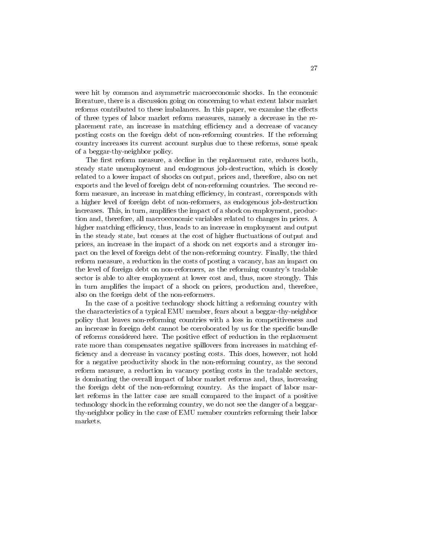were hit by common and asymmetric macroeconomic shocks. In the economic literature, there is a discussion going on concerning to what extent labor market reforms contributed to these imbalances. In this paper, we examine the effects of three types of labor market reform measures, namely a decrease in the replacement rate, an increase in matching efficiency and a decrease of vacancy posting costs on the foreign debt of non-reforming countries. If the reforming country increases its current account surplus due to these reforms, some speak of a beggar-thy-neighbor policy.

The first reform measure, a decline in the replacement rate, reduces both, steady state unemployment and endogenous job-destruction, which is closely related to a lower impact of shocks on output, prices and, therefore, also on net exports and the level of foreign debt of non-reforming countries. The second reform measure, an increase in matching efficiency, in contrast, corresponds with a higher level of foreign debt of non-reformers, as endogenous job-destruction increases. This, in turn, amplifies the impact of a shock on employment, production and, therefore, all macroeconomic variables related to changes in prices. A higher matching efficiency, thus, leads to an increase in employment and output in the steady state, but comes at the cost of higher fluctuations of output and prices, an increase in the impact of a shock on net exports and a stronger impact on the level of foreign debt of the non-reforming country. Finally, the third reform measure, a reduction in the costs of posting a vacancy, has an impact on the level of foreign debt on non-reformers, as the reforming country's tradable sector is able to alter employment at lower cost and, thus, more strongly. This in turn amplies the impact of a shock on prices, production and, therefore, also on the foreign debt of the non-reformers.

In the case of a positive technology shock hitting a reforming country with the characteristics of a typical EMU member, fears about a beggar-thy-neighbor policy that leaves non-reforming countries with a loss in competitiveness and an increase in foreign debt cannot be corroborated by us for the specific bundle of reforms considered here. The positive effect of reduction in the replacement rate more than compensates negative spillovers from increases in matching ef ficiency and a decrease in vacancy posting costs. This does, however, not hold for a negative productivity shock in the non-reforming country, as the second reform measure, a reduction in vacancy posting costs in the tradable sectors, is dominating the overall impact of labor market reforms and, thus, increasing the foreign debt of the non-reforming country. As the impact of labor market reforms in the latter case are small compared to the impact of a positive technology shock in the reforming country, we do not see the danger of a beggarthy-neighbor policy in the case of EMU member countries reforming their labor markets.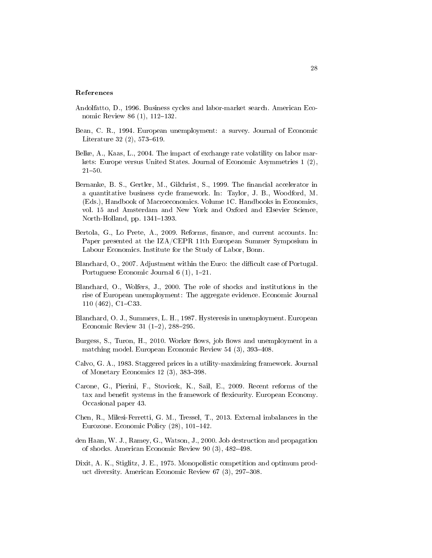#### References

- Andolfatto, D., 1996. Business cycles and labor-market search. American Economic Review 86  $(1)$ , 112-132.
- Bean, C. R., 1994. European unemployment: a survey. Journal of Economic Literature 32 $(2)$ , 573–619.
- Belke, A., Kaas, L., 2004. The impact of exchange rate volatility on labor markets: Europe versus United States. Journal of Economic Asymmetries 1 (2),  $21 - 50$ .
- Bernanke, B. S., Gertler, M., Gilchrist, S., 1999. The financial accelerator in a quantitative business cycle framework. In: Taylor, J. B., Woodford, M. (Eds.), Handbook of Macroeconomics. Volume 1C. Handbooks in Economics, vol. 15 and Amsterdam and New York and Oxford and Elsevier Science, North-Holland, pp.  $1341-1393$ .
- Bertola, G., Lo Prete, A., 2009. Reforms, finance, and current accounts. In: Paper presented at the IZA/CEPR 11th European Summer Symposium in Labour Economics. Institute for the Study of Labor, Bonn.
- Blanchard, O., 2007. Adjustment within the Euro: the difficult case of Portugal. Portuguese Economic Journal  $6(1)$ , 1-21.
- Blanchard, O., Wolfers, J., 2000. The role of shocks and institutions in the rise of European unemployment: The aggregate evidence. Economic Journal  $110$  (462), C1–C33.
- Blanchard, O. J., Summers, L. H., 1987. Hysteresis in unemployment. European Economic Review 31  $(1-2)$ , 288-295.
- Burgess, S., Turon, H., 2010. Worker flows, job flows and unemployment in a matching model. European Economic Review  $54$   $(3)$ ,  $393-408$ .
- Calvo, G. A., 1983. Staggered prices in a utility-maximizing framework. Journal of Monetary Economics 12 $(3)$ , 383-398.
- Carone, G., Pierini, F., Stovicek, K., Sail, E., 2009. Recent reforms of the tax and benefit systems in the framework of flexicurity. European Economy. Occasional paper 43.
- Chen, R., Milesi-Ferretti, G. M., Tressel, T., 2013. External imbalances in the Eurozone. Economic Policy  $(28)$ , 101-142.
- den Haan, W. J., Ramey, G., Watson, J., 2000. Job destruction and propagation of shocks. American Economic Review 90 (3), 482-498.
- Dixit, A. K., Stiglitz, J. E., 1975. Monopolistic competition and optimum product diversity. American Economic Review  $67$   $(3)$ ,  $297-308$ .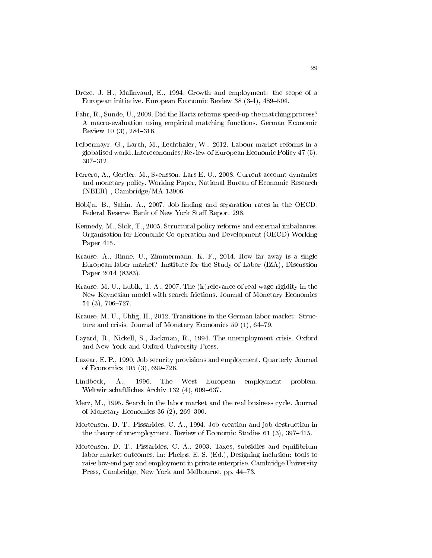- Dreze, J. H., Malinvaud, E., 1994. Growth and employment: the scope of a European initiative. European Economic Review 38 (3-4), 489–504.
- Fahr, R., Sunde, U., 2009. Did the Hartz reforms speed-up the matching process? A macro-evaluation using empirical matching functions. German Economic Review 10 $(3)$ , 284-316.
- Felbermayr, G., Larch, M., Lechthaler, W., 2012. Labour market reforms in a globalised world. Intereconomics/Review of European Economic Policy 47 (5), 307-312.
- Ferrero, A., Gertler, M., Svensson, Lars E. O., 2008. Current account dynamics and monetary policy. Working Paper, National Bureau of Economic Research (NBER) , Cambridge/MA 13906.
- Hobijn, B., Sahin, A., 2007. Job-finding and separation rates in the OECD. Federal Reserve Bank of New York Staff Report 298.
- Kennedy, M., Slok, T., 2005. Structural policy reforms and external imbalances. Organisation for Economic Co-operation and Development (OECD) Working Paper 415.
- Krause, A., Rinne, U., Zimmermann, K. F., 2014. How far away is a single European labor market? Institute for the Study of Labor (IZA), Discussion Paper 2014 (8383).
- Krause, M. U., Lubik, T. A., 2007. The (ir)relevance of real wage rigidity in the New Keynesian model with search frictions. Journal of Monetary Economics 54 (3), 706-727.
- Krause, M. U., Uhlig, H., 2012. Transitions in the German labor market: Structure and crisis. Journal of Monetary Economics  $59$  (1),  $64-79$ .
- Layard, R., Nickell, S., Jackman, R., 1994. The unemployment crisis. Oxford and New York and Oxford University Press.
- Lazear, E. P., 1990. Job security provisions and employment. Quarterly Journal of Economics 105 (3), 699–726.
- Lindbeck, A., 1996. The West European employment problem. Weltwirtschaftliches Archiv  $132(4)$ , 609–637.
- Merz, M., 1995. Search in the labor market and the real business cycle. Journal of Monetary Economics 36  $(2)$ , 269–300.
- Mortensen, D. T., Pissarides, C. A., 1994. Job creation and job destruction in the theory of unemployment. Review of Economic Studies  $61$  (3),  $397-415$ .
- Mortensen, D. T., Pissarides, C. A., 2003. Taxes, subsidies and equilibrium labor market outcomes. In: Phelps, E. S. (Ed.), Designing inclusion: tools to raise low-end pay and employment in private enterprise. Cambridge University Press, Cambridge, New York and Melbourne, pp. 44-73.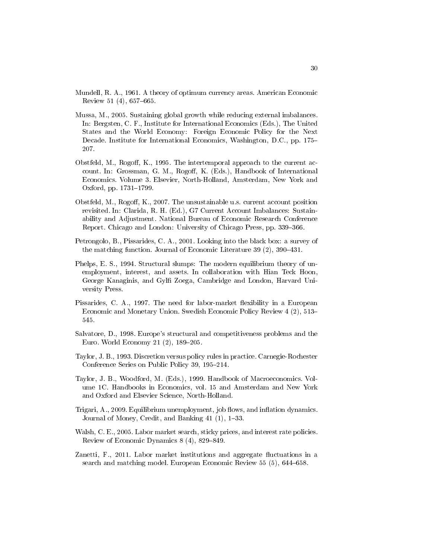- Mundell, R. A., 1961. A theory of optimum currency areas. American Economic Review 51  $(4)$ , 657–665.
- Mussa, M., 2005. Sustaining global growth while reducing external imbalances. In: Bergsten, C. F., Institute for International Economics (Eds.), The United States and the World Economy: Foreign Economic Policy for the Next Decade. Institute for International Economics, Washington, D.C., pp. 175 207.
- Obstfeld, M., Rogoff, K., 1995. The intertemporal approach to the current account. In: Grossman, G. M., Rogoff, K. (Eds.), Handbook of International Economics. Volume 3. Elsevier, North-Holland, Amsterdam, New York and Oxford, pp.  $1731 - 1799$ .
- Obstfeld, M., Rogoff, K., 2007. The unsustainable u.s. current account position revisited. In: Clarida, R. H. (Ed.), G7 Current Account Imbalances: Sustainability and Adjustment. National Bureau of Economic Research Conference Report. Chicago and London: University of Chicago Press, pp. 339-366.
- Petrongolo, B., Pissarides, C. A., 2001. Looking into the black box: a survey of the matching function. Journal of Economic Literature  $39(2)$ ,  $390-431$ .
- Phelps, E. S., 1994. Structural slumps: The modern equilibrium theory of unemployment, interest, and assets. In collaboration with Hian Teck Hoon, George Kanaginis, and Gylfi Zoega, Cambridge and London, Harvard University Press.
- Pissarides, C. A., 1997. The need for labor-market flexibility in a European Economic and Monetary Union. Swedish Economic Policy Review 4 (2), 513 545.
- Salvatore, D., 1998. Europe's structural and competitiveness problems and the Euro. World Economy 21 (2), 189-205.
- Taylor, J. B., 1993. Discretion versus policy rules in practice. Carnegie-Rochester Conference Series on Public Policy 39, 195-214.
- Taylor, J. B., Woodford, M. (Eds.), 1999. Handbook of Macroeconomics. Volume 1C. Handbooks in Economics, vol. 15 and Amsterdam and New York and Oxford and Elsevier Science, North-Holland.
- Trigari, A., 2009. Equilibrium unemployment, job flows, and inflation dynamics. Journal of Money, Credit, and Banking  $41$   $(1)$ ,  $1-33$ .
- Walsh, C. E., 2005. Labor market search, sticky prices, and interest rate policies. Review of Economic Dynamics  $8(4)$ ,  $829-849$ .
- Zanetti, F., 2011. Labor market institutions and aggregate fluctuations in a search and matching model. European Economic Review 55 (5), 644–658.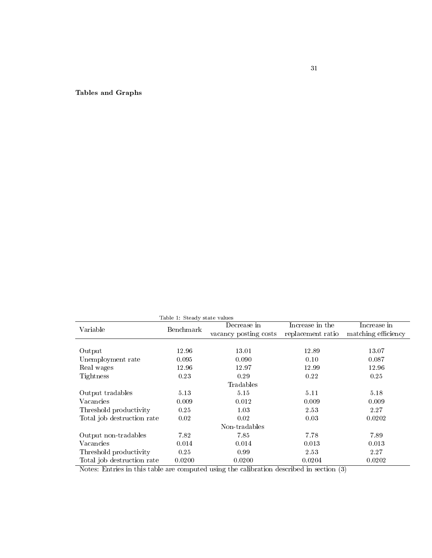Tables and Graphs

| Table 1: Steady state values |           |                       |                   |                     |  |  |  |
|------------------------------|-----------|-----------------------|-------------------|---------------------|--|--|--|
| Variable                     | Benchmark | Decrease in           | Increase in the   | Increase in         |  |  |  |
|                              |           | vacancy posting costs | replacement ratio | matching efficiency |  |  |  |
|                              |           |                       |                   |                     |  |  |  |
| Output                       | 12.96     | 13.01                 | 12.89             | 13.07               |  |  |  |
| Unemployment rate            | 0.095     | 0.090                 | 0.10              | 0.087               |  |  |  |
| Real wages                   | 12.96     | 12.97                 | 12.99             | 12.96               |  |  |  |
| Tightness                    | 0.23      | 0.29                  | 0.22              | 0.25                |  |  |  |
| Tradables                    |           |                       |                   |                     |  |  |  |
| Output tradables             | 5.13      | 5.15                  | 5.11              | 5.18                |  |  |  |
| Vacancies                    | 0.009     | 0.012                 | 0.009             | 0.009               |  |  |  |
| Threshold productivity       | 0.25      | 1.03                  | 2.53              | 2.27                |  |  |  |
| Total job destruction rate   | 0.02      | 0.02                  | 0.03              | 0.0202              |  |  |  |
| Non-tradables                |           |                       |                   |                     |  |  |  |
| Output non-tradables         | 782       | 7.85                  | 7.78              | 7.89                |  |  |  |
| Vacancies                    | 0.014     | 0.014                 | 0.013             | 0.013               |  |  |  |
| Threshold productivity       | 0.25      | 0.99                  | 2.53              | 2.27                |  |  |  |
| Total job destruction rate   | 0.0200    | 0.0200                | 0.0204            | 0.0202              |  |  |  |

Notes: Entries in this table are computed using the calibration described in section (3)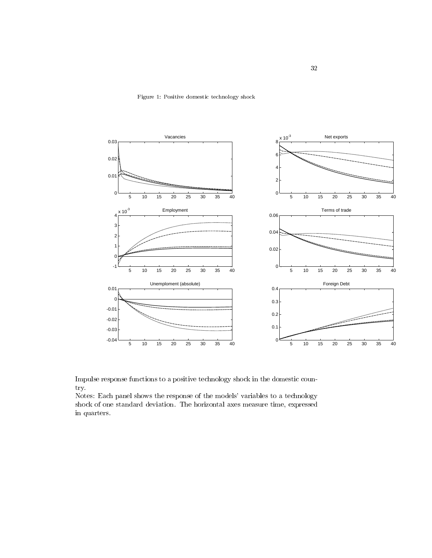Figure 1: Positive domestic technology shock



Impulse response functions to a positive technology shock in the domestic country.

Notes: Each panel shows the response of the models' variables to a technology shock of one standard deviation. The horizontal axes measure time, expressed in quarters.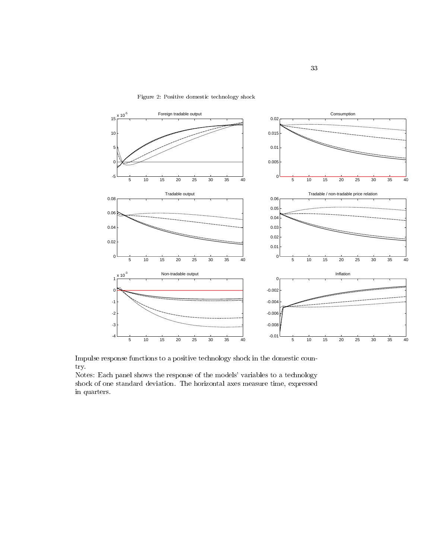

Figure 2: Positive domestic technology shock

Impulse response functions to a positive technology shock in the domestic country.

Notes: Each panel shows the response of the models' variables to a technology shock of one standard deviation. The horizontal axes measure time, expressed in quarters.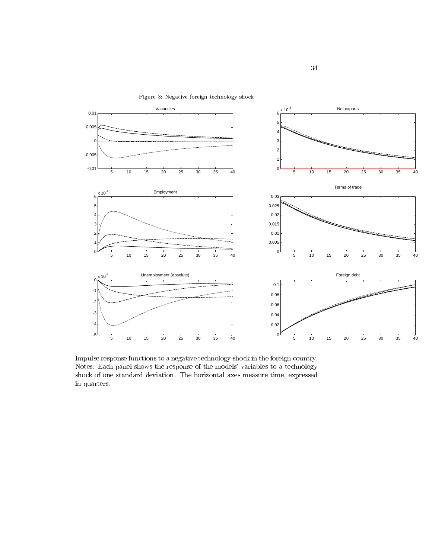

Figure 3: Negative foreign technology shock

Impulse response functions to a negative technology shock in the foreign country. Notes: Each panel shows the response of the models' variables to a technology shock of one standard deviation. The horizontal axes measure time, expressed in quarters.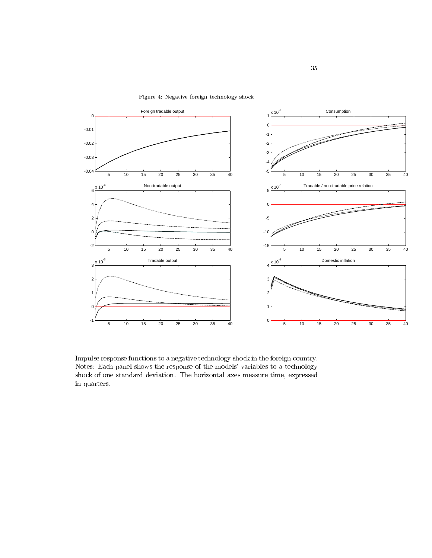



Impulse response functions to a negative technology shock in the foreign country. Notes: Each panel shows the response of the models' variables to a technology shock of one standard deviation. The horizontal axes measure time, expressed in quarters.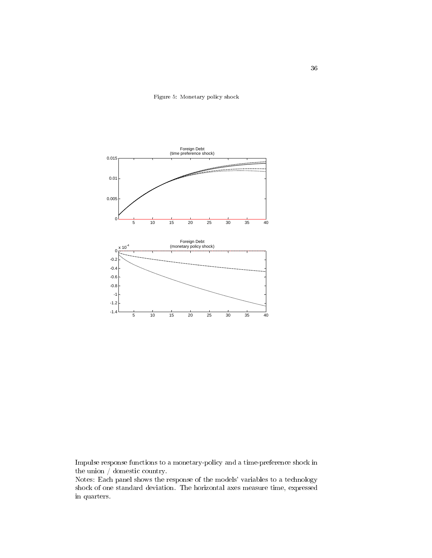Figure 5: Monetary policy shock



Impulse response functions to a monetary-policy and a time-preference shock in the union / domestic country.

Notes: Each panel shows the response of the models' variables to a technology shock of one standard deviation. The horizontal axes measure time, expressed in quarters.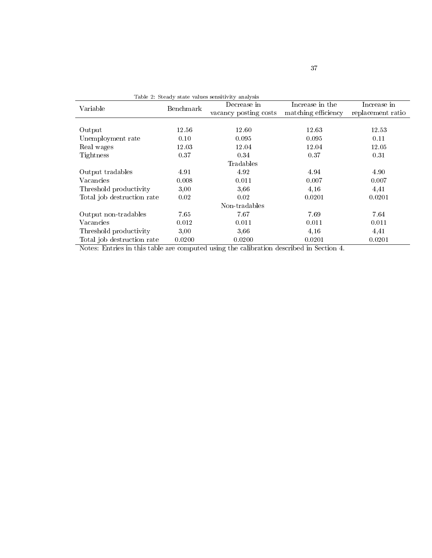| Table 2: Steady state values sensitivity analysis |           |                       |                     |                   |  |  |  |
|---------------------------------------------------|-----------|-----------------------|---------------------|-------------------|--|--|--|
| Variable                                          | Benchmark | Decrease in           | Increase in the     | Increase in       |  |  |  |
|                                                   |           | vacancy posting costs | matching efficiency | replacement ratio |  |  |  |
|                                                   |           |                       |                     |                   |  |  |  |
| Output                                            | 12.56     | 12.60                 | 12.63               | 12.53             |  |  |  |
| Unemployment rate                                 | 0.10      | 0.095                 | 0.095               | 0.11              |  |  |  |
| Real wages                                        | 12.03     | 12.04                 | 12.04               | 12.05             |  |  |  |
| Tightness                                         | 0.37      | 0.34                  | 0.37                | 0.31              |  |  |  |
| Tradables                                         |           |                       |                     |                   |  |  |  |
| Output tradables                                  | 4.91      | 4.92                  | 4.94                | 4.90              |  |  |  |
| Vacancies                                         | 0.008     | 0.011                 | 0.007               | 0.007             |  |  |  |
| Threshold productivity                            | 3,00      | 3,66                  | 4,16                | 4,41              |  |  |  |
| Total job destruction rate                        | 0.02      | 0.02                  | 0.0201              | 0.0201            |  |  |  |
| Non-tradables                                     |           |                       |                     |                   |  |  |  |
| Output non-tradables                              | 7.65      | 7.67                  | 7.69                | 7.64              |  |  |  |
| Vacancies                                         | 0.012     | 0.011                 | 0.011               | 0.011             |  |  |  |
| Threshold productivity                            | 3,00      | 3,66                  | 4,16                | 4,41              |  |  |  |
| Total job destruction rate                        | 0.0200    | 0.0200                | 0.0201              | 0.0201            |  |  |  |

Notes: Entries in this table are computed using the calibration described in Section 4.